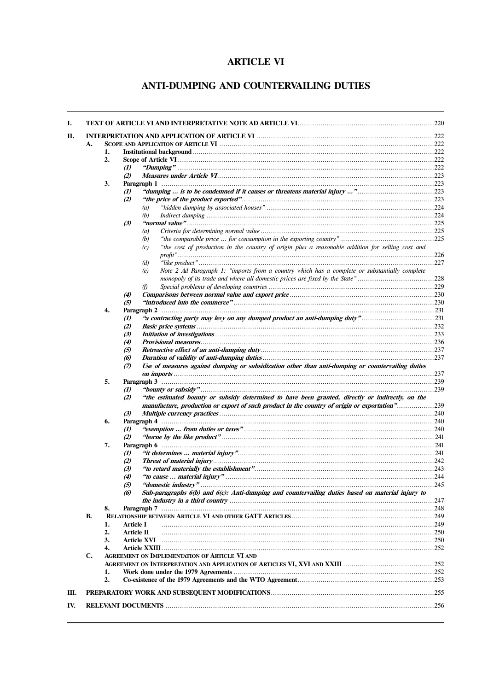# **ARTICLE VI**

# ANTI-DUMPING AND COUNTERVAILING DUTIES

|    | 1. |                         |                                                                                                                                                                                                   |  |
|----|----|-------------------------|---------------------------------------------------------------------------------------------------------------------------------------------------------------------------------------------------|--|
|    | 2. |                         |                                                                                                                                                                                                   |  |
|    |    | $\omega$                |                                                                                                                                                                                                   |  |
|    |    | (2)                     |                                                                                                                                                                                                   |  |
|    | 3. |                         |                                                                                                                                                                                                   |  |
|    |    | $\omega$                | "dumping  is to be condemned if it causes or threatens material injury "223                                                                                                                       |  |
|    |    | (2)                     |                                                                                                                                                                                                   |  |
|    |    | (a)                     |                                                                                                                                                                                                   |  |
|    |    | (b)                     |                                                                                                                                                                                                   |  |
|    |    | $\left(3\right)$        |                                                                                                                                                                                                   |  |
|    |    | (a)                     |                                                                                                                                                                                                   |  |
|    |    | (b)                     |                                                                                                                                                                                                   |  |
|    |    | (c)                     | "the cost of production in the country of origin plus a reasonable addition for selling cost and                                                                                                  |  |
|    |    |                         |                                                                                                                                                                                                   |  |
|    |    | (d)                     |                                                                                                                                                                                                   |  |
|    |    | (e)                     | Note 2 Ad Paragraph 1: "imports from a country which has a complete or substantially complete                                                                                                     |  |
|    |    |                         |                                                                                                                                                                                                   |  |
|    |    | (f)                     |                                                                                                                                                                                                   |  |
|    |    |                         |                                                                                                                                                                                                   |  |
|    |    | $\boldsymbol{r}$<br>(5) |                                                                                                                                                                                                   |  |
|    | 4. |                         |                                                                                                                                                                                                   |  |
|    |    |                         | "a contracting party may levy on any dumped product an anti-dumping duty"231                                                                                                                      |  |
|    |    | $\omega$                |                                                                                                                                                                                                   |  |
|    |    | (2)<br>(3)              |                                                                                                                                                                                                   |  |
|    |    |                         |                                                                                                                                                                                                   |  |
|    |    | <b>(4)</b>              |                                                                                                                                                                                                   |  |
|    |    | $\left(5\right)$        |                                                                                                                                                                                                   |  |
|    |    | (6)                     |                                                                                                                                                                                                   |  |
|    |    | $\mathcal{D}$           | Use of measures against dumping or subsidization other than anti-dumping or countervailing duties                                                                                                 |  |
|    |    |                         |                                                                                                                                                                                                   |  |
|    | 5. |                         |                                                                                                                                                                                                   |  |
|    |    | $\boldsymbol{v}$        |                                                                                                                                                                                                   |  |
|    |    | (2)                     | "the estimated bounty or subsidy determined to have been granted, directly or indirectly, on the<br>manufacture, production or export of such product in the country of origin or exportation"239 |  |
|    |    |                         |                                                                                                                                                                                                   |  |
|    |    | (3)                     |                                                                                                                                                                                                   |  |
|    | 6. |                         |                                                                                                                                                                                                   |  |
|    |    | $\mathbf{v}$            |                                                                                                                                                                                                   |  |
|    |    | (2)                     |                                                                                                                                                                                                   |  |
|    | 7. |                         |                                                                                                                                                                                                   |  |
|    |    | $\mathbf{u}$            |                                                                                                                                                                                                   |  |
|    |    | (2)                     |                                                                                                                                                                                                   |  |
|    |    | (3)                     |                                                                                                                                                                                                   |  |
|    |    | (4)                     |                                                                                                                                                                                                   |  |
|    |    | (5)                     | "domestic industry" .                                                                                                                                                                             |  |
|    |    |                         |                                                                                                                                                                                                   |  |
|    |    | (6)                     |                                                                                                                                                                                                   |  |
|    |    |                         |                                                                                                                                                                                                   |  |
|    | 8. |                         |                                                                                                                                                                                                   |  |
| В. |    |                         |                                                                                                                                                                                                   |  |
|    | 1. | Article I               |                                                                                                                                                                                                   |  |
|    | 2. | Article II              |                                                                                                                                                                                                   |  |
|    | 3. | Article XVI             |                                                                                                                                                                                                   |  |
|    | 4. |                         |                                                                                                                                                                                                   |  |
| C. |    |                         | <b>AGREEMENT ON IMPLEMENTATION OF ARTICLE VI AND</b>                                                                                                                                              |  |
|    |    |                         |                                                                                                                                                                                                   |  |
|    | 1. |                         |                                                                                                                                                                                                   |  |
|    | 2. |                         | Sub-paragraphs 6(b) and 6(c): Anti-dumping and countervailing duties based on material injury to                                                                                                  |  |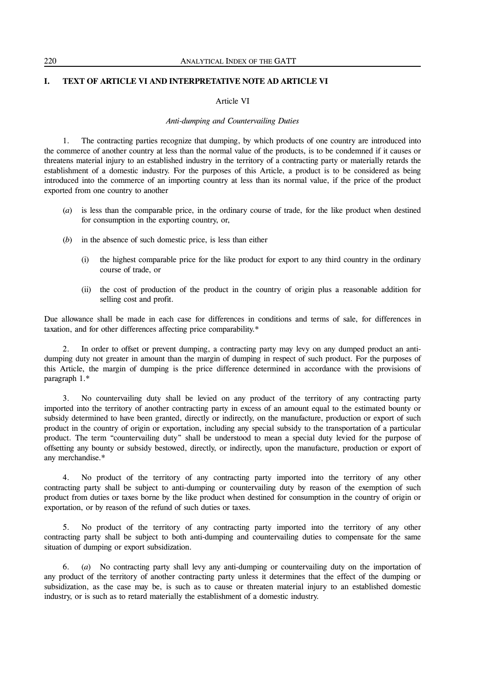# **I. TEXT OF ARTICLE VI AND INTERPRETATIVE NOTE AD ARTICLE VI**

# Article VI

# *Anti-dumping and Countervailing Duties*

 1. The contracting parties recognize that dumping, by which products of one country are introduced into the commerce of another country at less than the normal value of the products, is to be condemned if it causes or threatens material injury to an established industry in the territory of a contracting party or materially retards the establishment of a domestic industry. For the purposes of this Article, a product is to be considered as being introduced into the commerce of an importing country at less than its normal value, if the price of the product exported from one country to another

- (*a*) is less than the comparable price, in the ordinary course of trade, for the like product when destined for consumption in the exporting country, or,
- (*b*) in the absence of such domestic price, is less than either
	- (i) the highest comparable price for the like product for export to any third country in the ordinary course of trade, or
	- (ii) the cost of production of the product in the country of origin plus a reasonable addition for selling cost and profit.

Due allowance shall be made in each case for differences in conditions and terms of sale, for differences in taxation, and for other differences affecting price comparability.\*

In order to offset or prevent dumping, a contracting party may levy on any dumped product an antidumping duty not greater in amount than the margin of dumping in respect of such product. For the purposes of this Article, the margin of dumping is the price difference determined in accordance with the provisions of paragraph 1.\*

 3. No countervailing duty shall be levied on any product of the territory of any contracting party imported into the territory of another contracting party in excess of an amount equal to the estimated bounty or subsidy determined to have been granted, directly or indirectly, on the manufacture, production or export of such product in the country of origin or exportation, including any special subsidy to the transportation of a particular product. The term "countervailing duty" shall be understood to mean a special duty levied for the purpose of offsetting any bounty or subsidy bestowed, directly, or indirectly, upon the manufacture, production or export of any merchandise.\*

 4. No product of the territory of any contracting party imported into the territory of any other contracting party shall be subject to anti-dumping or countervailing duty by reason of the exemption of such product from duties or taxes borne by the like product when destined for consumption in the country of origin or exportation, or by reason of the refund of such duties or taxes.

 5. No product of the territory of any contracting party imported into the territory of any other contracting party shall be subject to both anti-dumping and countervailing duties to compensate for the same situation of dumping or export subsidization.

 6. (*a*) No contracting party shall levy any anti-dumping or countervailing duty on the importation of any product of the territory of another contracting party unless it determines that the effect of the dumping or subsidization, as the case may be, is such as to cause or threaten material injury to an established domestic industry, or is such as to retard materially the establishment of a domestic industry.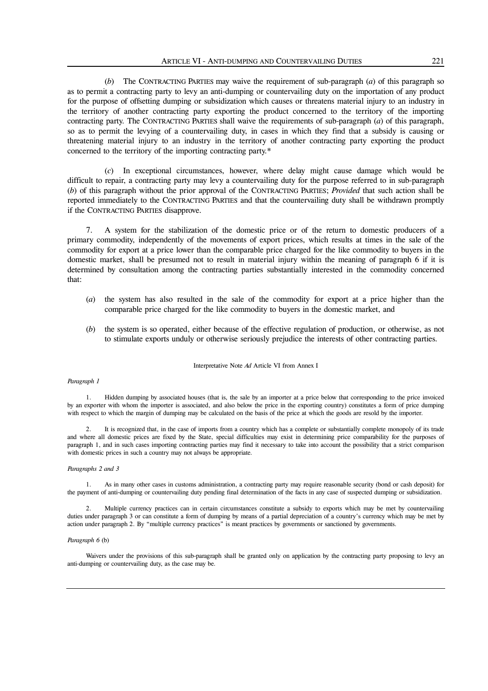(*b*) The CONTRACTING PARTIES may waive the requirement of sub-paragraph (*a*) of this paragraph so as to permit a contracting party to levy an anti-dumping or countervailing duty on the importation of any product for the purpose of offsetting dumping or subsidization which causes or threatens material injury to an industry in the territory of another contracting party exporting the product concerned to the territory of the importing contracting party. The CONTRACTING PARTIES shall waive the requirements of sub-paragraph (*a*) of this paragraph, so as to permit the levying of a countervailing duty, in cases in which they find that a subsidy is causing or threatening material injury to an industry in the territory of another contracting party exporting the product concerned to the territory of the importing contracting party.\*

 (*c*) In exceptional circumstances, however, where delay might cause damage which would be difficult to repair, a contracting party may levy a countervailing duty for the purpose referred to in sub-paragraph (*b*) of this paragraph without the prior approval of the CONTRACTING PARTIES; *Provided* that such action shall be reported immediately to the CONTRACTING PARTIES and that the countervailing duty shall be withdrawn promptly if the CONTRACTING PARTIES disapprove.

 7. A system for the stabilization of the domestic price or of the return to domestic producers of a primary commodity, independently of the movements of export prices, which results at times in the sale of the commodity for export at a price lower than the comparable price charged for the like commodity to buyers in the domestic market, shall be presumed not to result in material injury within the meaning of paragraph 6 if it is determined by consultation among the contracting parties substantially interested in the commodity concerned that:

- (*a*) the system has also resulted in the sale of the commodity for export at a price higher than the comparable price charged for the like commodity to buyers in the domestic market, and
- (*b*) the system is so operated, either because of the effective regulation of production, or otherwise, as not to stimulate exports unduly or otherwise seriously prejudice the interests of other contracting parties.

#### Interpretative Note *Ad* Article VI from Annex I

#### *Paragraph 1*

 1. Hidden dumping by associated houses (that is, the sale by an importer at a price below that corresponding to the price invoiced by an exporter with whom the importer is associated, and also below the price in the exporting country) constitutes a form of price dumping with respect to which the margin of dumping may be calculated on the basis of the price at which the goods are resold by the importer.

 2. It is recognized that, in the case of imports from a country which has a complete or substantially complete monopoly of its trade and where all domestic prices are fixed by the State, special difficulties may exist in determining price comparability for the purposes of paragraph 1, and in such cases importing contracting parties may find it necessary to take into account the possibility that a strict comparison with domestic prices in such a country may not always be appropriate.

#### *Paragraphs 2 and 3*

 1. As in many other cases in customs administration, a contracting party may require reasonable security (bond or cash deposit) for the payment of anti-dumping or countervailing duty pending final determination of the facts in any case of suspected dumping or subsidization.

 2. Multiple currency practices can in certain circumstances constitute a subsidy to exports which may be met by countervailing duties under paragraph 3 or can constitute a form of dumping by means of a partial depreciation of a country's currency which may be met by action under paragraph 2. By "multiple currency practices" is meant practices by governments or sanctioned by governments.

#### *Paragraph 6* (b)

 Waivers under the provisions of this sub-paragraph shall be granted only on application by the contracting party proposing to levy an anti-dumping or countervailing duty, as the case may be.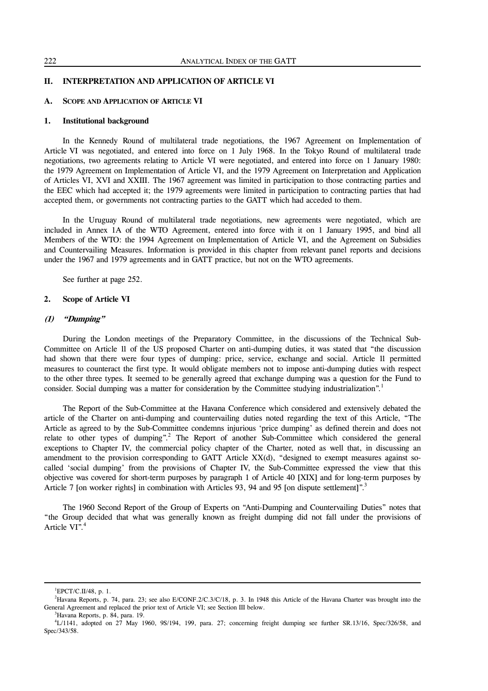# **II. INTERPRETATION AND APPLICATION OF ARTICLE VI**

# **A. SCOPE AND APPLICATION OF ARTICLE VI**

# **1. Institutional background**

 In the Kennedy Round of multilateral trade negotiations, the 1967 Agreement on Implementation of Article VI was negotiated, and entered into force on 1 July 1968. In the Tokyo Round of multilateral trade negotiations, two agreements relating to Article VI were negotiated, and entered into force on 1 January 1980: the 1979 Agreement on Implementation of Article VI, and the 1979 Agreement on Interpretation and Application of Articles VI, XVI and XXIII. The 1967 agreement was limited in participation to those contracting parties and the EEC which had accepted it; the 1979 agreements were limited in participation to contracting parties that had accepted them, or governments not contracting parties to the GATT which had acceded to them.

 In the Uruguay Round of multilateral trade negotiations, new agreements were negotiated, which are included in Annex 1A of the WTO Agreement, entered into force with it on 1 January 1995, and bind all Members of the WTO: the 1994 Agreement on Implementation of Article VI, and the Agreement on Subsidies and Countervailing Measures. Information is provided in this chapter from relevant panel reports and decisions under the 1967 and 1979 agreements and in GATT practice, but not on the WTO agreements.

See further at page 252.

# **2. Scope of Article VI**

#### **(1) "Dumping"**

 During the London meetings of the Preparatory Committee, in the discussions of the Technical Sub-Committee on Article 11 of the US proposed Charter on anti-dumping duties, it was stated that "the discussion had shown that there were four types of dumping: price, service, exchange and social. Article 11 permitted measures to counteract the first type. It would obligate members not to impose anti-dumping duties with respect to the other three types. It seemed to be generally agreed that exchange dumping was a question for the Fund to consider. Social dumping was a matter for consideration by the Committee studying industrialization".<sup>1</sup>

 The Report of the Sub-Committee at the Havana Conference which considered and extensively debated the article of the Charter on anti-dumping and countervailing duties noted regarding the text of this Article, "The Article as agreed to by the Sub-Committee condemns injurious 'price dumping' as defined therein and does not relate to other types of dumping".<sup>2</sup> The Report of another Sub-Committee which considered the general exceptions to Chapter IV, the commercial policy chapter of the Charter, noted as well that, in discussing an amendment to the provision corresponding to GATT Article  $XX(d)$ , "designed to exempt measures against socalled 'social dumping' from the provisions of Chapter IV, the Sub-Committee expressed the view that this objective was covered for short-term purposes by paragraph 1 of Article 40 [XIX] and for long-term purposes by Article 7 [on worker rights] in combination with Articles 93, 94 and 95 [on dispute settlement]".<sup>3</sup>

 The 1960 Second Report of the Group of Experts on "Anti-Dumping and Countervailing Duties" notes that "the Group decided that what was generally known as freight dumping did not fall under the provisions of Article  $VI^{\frac{1}{2}}$ <sup>4</sup>

<sup>1</sup> EPCT/C.II/48, p. 1.

<sup>&</sup>lt;sup>2</sup>Havana Reports, p. 74, para. 23; see also E/CONF.2/C.3/C/18, p. 3. In 1948 this Article of the Havana Charter was brought into the General Agreement and replaced the prior text of Article VI; see Section III below.

<sup>3</sup> Havana Reports, p. 84, para. 19.

<sup>4</sup> L/1141, adopted on 27 May 1960, 9S/194, 199, para. 27; concerning freight dumping see further SR.13/16, Spec/326/58, and Spec/343/58.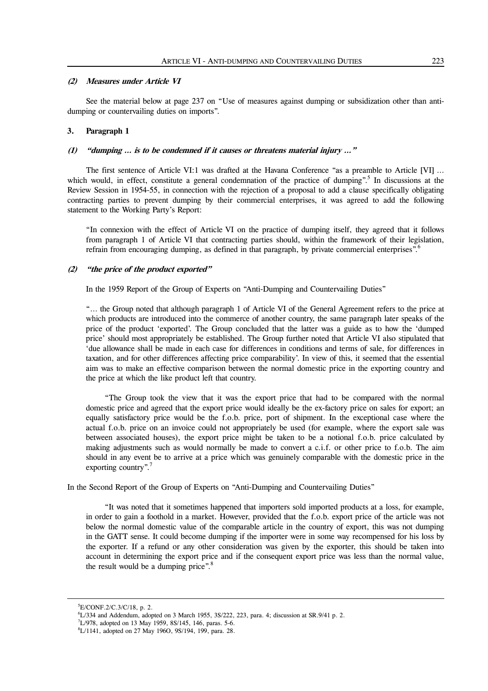#### **(2) Measures under Article VI**

 See the material below at page 237 on "Use of measures against dumping or subsidization other than antidumping or countervailing duties on imports".

#### **3. Paragraph 1**

#### **(1) "dumping … is to be condemned if it causes or threatens material injury …"**

 The first sentence of Article VI:1 was drafted at the Havana Conference "as a preamble to Article [VI] … which would, in effect, constitute a general condemnation of the practice of dumping".<sup>5</sup> In discussions at the Review Session in 1954-55, in connection with the rejection of a proposal to add a clause specifically obligating contracting parties to prevent dumping by their commercial enterprises, it was agreed to add the following statement to the Working Party's Report:

"In connexion with the effect of Article VI on the practice of dumping itself, they agreed that it follows from paragraph 1 of Article VI that contracting parties should, within the framework of their legislation, refrain from encouraging dumping, as defined in that paragraph, by private commercial enterprises".<sup>6</sup>

#### **(2) "the price of the product exported"**

In the 1959 Report of the Group of Experts on "Anti-Dumping and Countervailing Duties"

"… the Group noted that although paragraph 1 of Article VI of the General Agreement refers to the price at which products are introduced into the commerce of another country, the same paragraph later speaks of the price of the product 'exported'. The Group concluded that the latter was a guide as to how the 'dumped price' should most appropriately be established. The Group further noted that Article VI also stipulated that 'due allowance shall be made in each case for differences in conditions and terms of sale, for differences in taxation, and for other differences affecting price comparability'. In view of this, it seemed that the essential aim was to make an effective comparison between the normal domestic price in the exporting country and the price at which the like product left that country.

 "The Group took the view that it was the export price that had to be compared with the normal domestic price and agreed that the export price would ideally be the ex-factory price on sales for export; an equally satisfactory price would be the f.o.b. price, port of shipment. In the exceptional case where the actual f.o.b. price on an invoice could not appropriately be used (for example, where the export sale was between associated houses), the export price might be taken to be a notional f.o.b. price calculated by making adjustments such as would normally be made to convert a c.i.f. or other price to f.o.b. The aim should in any event be to arrive at a price which was genuinely comparable with the domestic price in the exporting country".<sup>7</sup>

In the Second Report of the Group of Experts on "Anti-Dumping and Countervailing Duties"

 "It was noted that it sometimes happened that importers sold imported products at a loss, for example, in order to gain a foothold in a market. However, provided that the f.o.b. export price of the article was not below the normal domestic value of the comparable article in the country of export, this was not dumping in the GATT sense. It could become dumping if the importer were in some way recompensed for his loss by the exporter. If a refund or any other consideration was given by the exporter, this should be taken into account in determining the export price and if the consequent export price was less than the normal value, the result would be a dumping price".<sup>8</sup>

l

<sup>5</sup> E/CONF.2/C.3/C/18, p. 2.

 ${}^{6}$ L/334 and Addendum, adopted on 3 March 1955, 3S/222, 223, para. 4; discussion at SR.9/41 p. 2.

<sup>7</sup> L/978, adopted on 13 May 1959, 8S/145, 146, paras. 5-6.

<sup>8</sup> L/1141, adopted on 27 May 196O, 9S/194, 199, para. 28.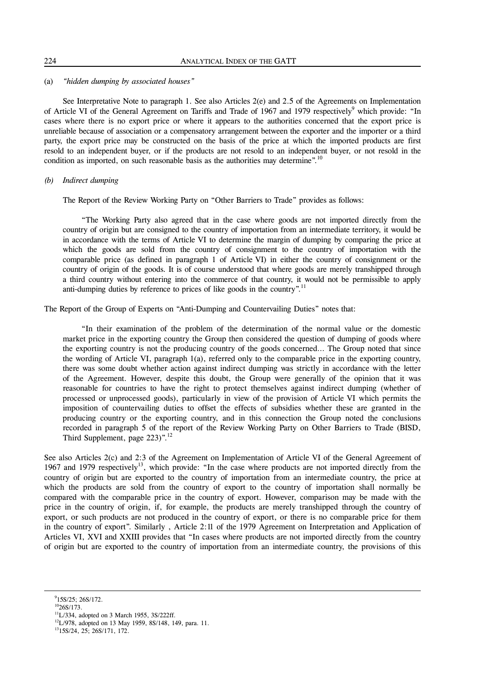# (a) *"hidden dumping by associated houses"*

 See Interpretative Note to paragraph 1. See also Articles 2(e) and 2.5 of the Agreements on Implementation of Article VI of the General Agreement on Tariffs and Trade of 1967 and 1979 respectively<sup>9</sup> which provide: "In cases where there is no export price or where it appears to the authorities concerned that the export price is unreliable because of association or a compensatory arrangement between the exporter and the importer or a third party, the export price may be constructed on the basis of the price at which the imported products are first resold to an independent buyer, or if the products are not resold to an independent buyer, or not resold in the condition as imported, on such reasonable basis as the authorities may determine".<sup>10</sup>

# *(b) Indirect dumping*

The Report of the Review Working Party on "Other Barriers to Trade" provides as follows:

 "The Working Party also agreed that in the case where goods are not imported directly from the country of origin but are consigned to the country of importation from an intermediate territory, it would be in accordance with the terms of Article VI to determine the margin of dumping by comparing the price at which the goods are sold from the country of consignment to the country of importation with the comparable price (as defined in paragraph 1 of Article VI) in either the country of consignment or the country of origin of the goods. It is of course understood that where goods are merely transhipped through a third country without entering into the commerce of that country, it would not be permissible to apply anti-dumping duties by reference to prices of like goods in the country".<sup>11</sup>

The Report of the Group of Experts on "Anti-Dumping and Countervailing Duties" notes that:

 "In their examination of the problem of the determination of the normal value or the domestic market price in the exporting country the Group then considered the question of dumping of goods where the exporting country is not the producing country of the goods concerned… The Group noted that since the wording of Article VI, paragraph 1(a), referred only to the comparable price in the exporting country, there was some doubt whether action against indirect dumping was strictly in accordance with the letter of the Agreement. However, despite this doubt, the Group were generally of the opinion that it was reasonable for countries to have the right to protect themselves against indirect dumping (whether of processed or unprocessed goods), particularly in view of the provision of Article VI which permits the imposition of countervailing duties to offset the effects of subsidies whether these are granted in the producing country or the exporting country, and in this connection the Group noted the conclusions recorded in paragraph 5 of the report of the Review Working Party on Other Barriers to Trade (BISD, Third Supplement, page 223)".<sup>12</sup>

See also Articles 2(c) and 2:3 of the Agreement on Implementation of Article VI of the General Agreement of 1967 and 1979 respectively<sup>13</sup>, which provide: "In the case where products are not imported directly from the country of origin but are exported to the country of importation from an intermediate country, the price at which the products are sold from the country of export to the country of importation shall normally be compared with the comparable price in the country of export. However, comparison may be made with the price in the country of origin, if, for example, the products are merely transhipped through the country of export, or such products are not produced in the country of export, or there is no comparable price for them in the country of export". Similarly , Article 2:11 of the 1979 Agreement on Interpretation and Application of Articles VI, XVI and XXIII provides that "In cases where products are not imported directly from the country of origin but are exported to the country of importation from an intermediate country, the provisions of this

 $9$ 15S/25; 26S/172.

 $10$ <sup>10</sup>26S/173.

 $11L/334$ , adopted on 3 March 1955, 3S/222ff.

<sup>&</sup>lt;sup>12</sup>L/978, adopted on 13 May 1959, 8S/148, 149, para. 11.

1315S/24, 25; 26S/171, 172.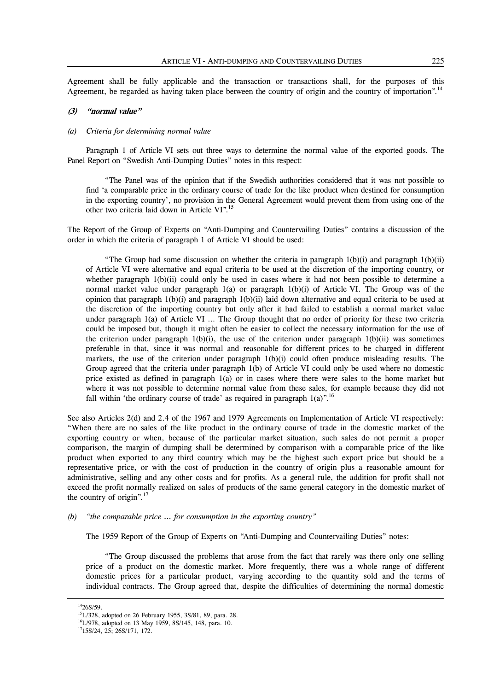Agreement shall be fully applicable and the transaction or transactions shall, for the purposes of this Agreement, be regarded as having taken place between the country of origin and the country of importation".<sup>14</sup>

# **(3) "normal value"**

#### *(a) Criteria for determining normal value*

 Paragraph 1 of Article VI sets out three ways to determine the normal value of the exported goods. The Panel Report on "Swedish Anti-Dumping Duties" notes in this respect:

 "The Panel was of the opinion that if the Swedish authorities considered that it was not possible to find 'a comparable price in the ordinary course of trade for the like product when destined for consumption in the exporting country', no provision in the General Agreement would prevent them from using one of the other two criteria laid down in Article VI".15

The Report of the Group of Experts on "Anti-Dumping and Countervailing Duties" contains a discussion of the order in which the criteria of paragraph 1 of Article VI should be used:

"The Group had some discussion on whether the criteria in paragraph  $1(b)(i)$  and paragraph  $1(b)(ii)$ of Article VI were alternative and equal criteria to be used at the discretion of the importing country, or whether paragraph 1(b)(ii) could only be used in cases where it had not been possible to determine a normal market value under paragraph  $1(a)$  or paragraph  $1(b)(i)$  of Article VI. The Group was of the opinion that paragraph  $1(b)(i)$  and paragraph  $1(b)(ii)$  laid down alternative and equal criteria to be used at the discretion of the importing country but only after it had failed to establish a normal market value under paragraph 1(a) of Article VI … The Group thought that no order of priority for these two criteria could be imposed but, though it might often be easier to collect the necessary information for the use of the criterion under paragraph  $1(b)(i)$ , the use of the criterion under paragraph  $1(b)(ii)$  was sometimes preferable in that, since it was normal and reasonable for different prices to be charged in different markets, the use of the criterion under paragraph 1(b)(i) could often produce misleading results. The Group agreed that the criteria under paragraph 1(b) of Article VI could only be used where no domestic price existed as defined in paragraph 1(a) or in cases where there were sales to the home market but where it was not possible to determine normal value from these sales, for example because they did not fall within 'the ordinary course of trade' as required in paragraph  $1(a)$ ".<sup>16</sup>

See also Articles 2(d) and 2.4 of the 1967 and 1979 Agreements on Implementation of Article VI respectively: "When there are no sales of the like product in the ordinary course of trade in the domestic market of the exporting country or when, because of the particular market situation, such sales do not permit a proper comparison, the margin of dumping shall be determined by comparison with a comparable price of the like product when exported to any third country which may be the highest such export price but should be a representative price, or with the cost of production in the country of origin plus a reasonable amount for administrative, selling and any other costs and for profits. As a general rule, the addition for profit shall not exceed the profit normally realized on sales of products of the same general category in the domestic market of the country of origin".<sup>17</sup>

# *(b) "the comparable price … for consumption in the exporting country"*

The 1959 Report of the Group of Experts on "Anti-Dumping and Countervailing Duties" notes:

 "The Group discussed the problems that arose from the fact that rarely was there only one selling price of a product on the domestic market. More frequently, there was a whole range of different domestic prices for a particular product, varying according to the quantity sold and the terms of individual contracts. The Group agreed that, despite the difficulties of determining the normal domestic

l

 $1426S/59.$ 

15L/328, adopted on 26 February 1955, 3S/81, 89, para. 28.

16L/978, adopted on 13 May 1959, 8S/145, 148, para. 10.

 $1715S/24$ , 25; 26S/171, 172.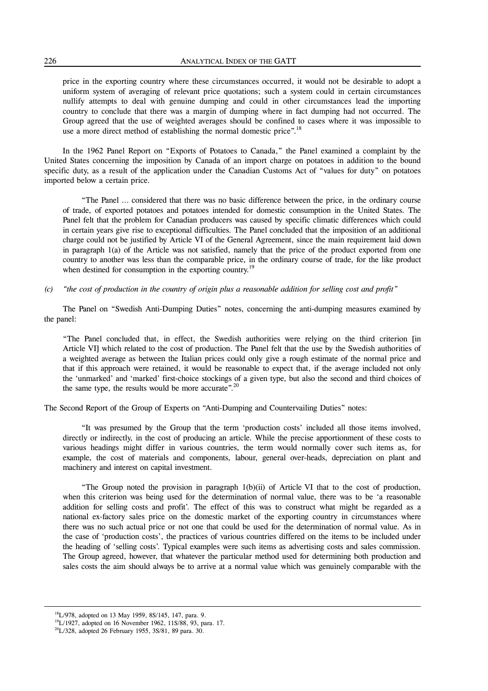price in the exporting country where these circumstances occurred, it would not be desirable to adopt a uniform system of averaging of relevant price quotations; such a system could in certain circumstances nullify attempts to deal with genuine dumping and could in other circumstances lead the importing country to conclude that there was a margin of dumping where in fact dumping had not occurred. The Group agreed that the use of weighted averages should be confined to cases where it was impossible to use a more direct method of establishing the normal domestic price".<sup>18</sup>

 In the 1962 Panel Report on "Exports of Potatoes to Canada," the Panel examined a complaint by the United States concerning the imposition by Canada of an import charge on potatoes in addition to the bound specific duty, as a result of the application under the Canadian Customs Act of "values for duty" on potatoes imported below a certain price.

 "The Panel … considered that there was no basic difference between the price, in the ordinary course of trade, of exported potatoes and potatoes intended for domestic consumption in the United States. The Panel felt that the problem for Canadian producers was caused by specific climatic differences which could in certain years give rise to exceptional difficulties. The Panel concluded that the imposition of an additional charge could not be justified by Article VI of the General Agreement, since the main requirement laid down in paragraph 1(a) of the Article was not satisfied, namely that the price of the product exported from one country to another was less than the comparable price, in the ordinary course of trade, for the like product when destined for consumption in the exporting country.<sup>19</sup>

#### *(c) "the cost of production in the country of origin plus a reasonable addition for selling cost and profit"*

 The Panel on "Swedish Anti-Dumping Duties" notes, concerning the anti-dumping measures examined by the panel:

"The Panel concluded that, in effect, the Swedish authorities were relying on the third criterion [in Article VI] which related to the cost of production. The Panel felt that the use by the Swedish authorities of a weighted average as between the Italian prices could only give a rough estimate of the normal price and that if this approach were retained, it would be reasonable to expect that, if the average included not only the 'unmarked' and 'marked' first-choice stockings of a given type, but also the second and third choices of the same type, the results would be more accurate".<sup>20</sup>

The Second Report of the Group of Experts on "Anti-Dumping and Countervailing Duties" notes:

 "It was presumed by the Group that the term 'production costs' included all those items involved, directly or indirectly, in the cost of producing an article. While the precise apportionment of these costs to various headings might differ in various countries, the term would normally cover such items as, for example, the cost of materials and components, labour, general over-heads, depreciation on plant and machinery and interest on capital investment.

 "The Group noted the provision in paragraph 1(b)(ii) of Article VI that to the cost of production, when this criterion was being used for the determination of normal value, there was to be 'a reasonable addition for selling costs and profit'. The effect of this was to construct what might be regarded as a national ex-factory sales price on the domestic market of the exporting country in circumstances where there was no such actual price or not one that could be used for the determination of normal value. As in the case of 'production costs', the practices of various countries differed on the items to be included under the heading of 'selling costs'. Typical examples were such items as advertising costs and sales commission. The Group agreed, however, that whatever the particular method used for determining both production and sales costs the aim should always be to arrive at a normal value which was genuinely comparable with the

<sup>&</sup>lt;sup>18</sup>L/978, adopted on 13 May 1959, 8S/145, 147, para. 9.

<sup>&</sup>lt;sup>19</sup>L/1927, adopted on 16 November 1962, 11S/88, 93, para. 17.

 $^{20}$ L/328, adopted 26 February 1955, 3S/81, 89 para. 30.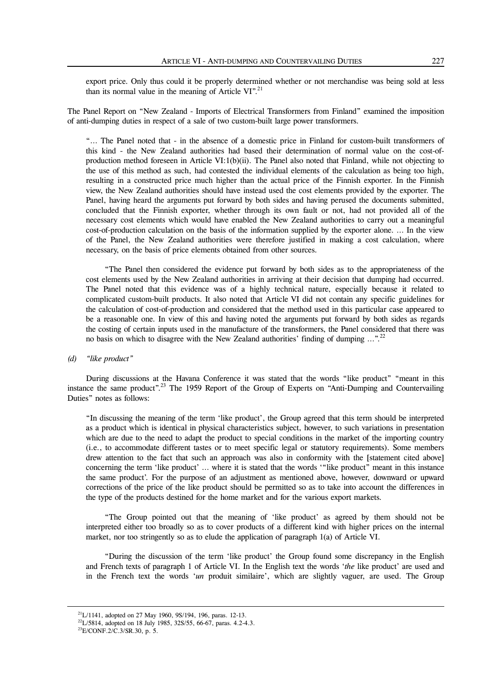export price. Only thus could it be properly determined whether or not merchandise was being sold at less than its normal value in the meaning of Article VI".<sup>21</sup>

The Panel Report on "New Zealand - Imports of Electrical Transformers from Finland" examined the imposition of anti-dumping duties in respect of a sale of two custom-built large power transformers.

"… The Panel noted that - in the absence of a domestic price in Finland for custom-built transformers of this kind - the New Zealand authorities had based their determination of normal value on the cost-ofproduction method foreseen in Article VI:1(b)(ii). The Panel also noted that Finland, while not objecting to the use of this method as such, had contested the individual elements of the calculation as being too high, resulting in a constructed price much higher than the actual price of the Finnish exporter. In the Finnish view, the New Zealand authorities should have instead used the cost elements provided by the exporter. The Panel, having heard the arguments put forward by both sides and having perused the documents submitted, concluded that the Finnish exporter, whether through its own fault or not, had not provided all of the necessary cost elements which would have enabled the New Zealand authorities to carry out a meaningful cost-of-production calculation on the basis of the information supplied by the exporter alone. … In the view of the Panel, the New Zealand authorities were therefore justified in making a cost calculation, where necessary, on the basis of price elements obtained from other sources.

 "The Panel then considered the evidence put forward by both sides as to the appropriateness of the cost elements used by the New Zealand authorities in arriving at their decision that dumping had occurred. The Panel noted that this evidence was of a highly technical nature, especially because it related to complicated custom-built products. It also noted that Article VI did not contain any specific guidelines for the calculation of cost-of-production and considered that the method used in this particular case appeared to be a reasonable one. In view of this and having noted the arguments put forward by both sides as regards the costing of certain inputs used in the manufacture of the transformers, the Panel considered that there was no basis on which to disagree with the New Zealand authorities' finding of dumping  $\ldots$ <sup>22</sup>

#### *(d) "like product"*

 During discussions at the Havana Conference it was stated that the words "like product" "meant in this instance the same product".<sup>23</sup> The 1959 Report of the Group of Experts on "Anti-Dumping and Countervailing Duties" notes as follows:

"In discussing the meaning of the term 'like product', the Group agreed that this term should be interpreted as a product which is identical in physical characteristics subject, however, to such variations in presentation which are due to the need to adapt the product to special conditions in the market of the importing country (i.e., to accommodate different tastes or to meet specific legal or statutory requirements). Some members drew attention to the fact that such an approach was also in conformity with the [statement cited above] concerning the term 'like product' … where it is stated that the words '"like product" meant in this instance the same product'. For the purpose of an adjustment as mentioned above, however, downward or upward corrections of the price of the like product should be permitted so as to take into account the differences in the type of the products destined for the home market and for the various export markets.

 "The Group pointed out that the meaning of 'like product' as agreed by them should not be interpreted either too broadly so as to cover products of a different kind with higher prices on the internal market, nor too stringently so as to elude the application of paragraph 1(a) of Article VI.

 "During the discussion of the term 'like product' the Group found some discrepancy in the English and French texts of paragraph 1 of Article VI. In the English text the words '*the* like product' are used and in the French text the words '*un* produit similaire', which are slightly vaguer, are used. The Group

<sup>21</sup>L/1141, adopted on 27 May 1960, 9S/194, 196, paras. 12-13.

<sup>&</sup>lt;sup>22</sup>L/5814, adopted on 18 July 1985, 32S/55, 66-67, paras. 4.2-4.3.

 $^{23}E/CONF.2/C.3/SR.30, p. 5.$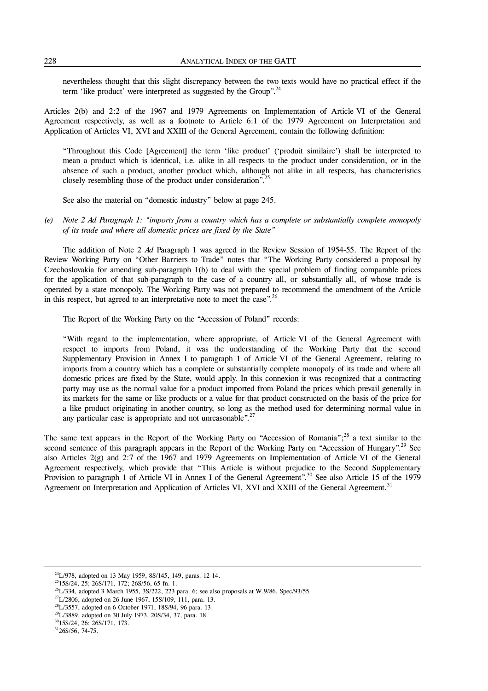nevertheless thought that this slight discrepancy between the two texts would have no practical effect if the term 'like product' were interpreted as suggested by the Group".<sup>24</sup>

Articles 2(b) and 2:2 of the 1967 and 1979 Agreements on Implementation of Article VI of the General Agreement respectively, as well as a footnote to Article 6:1 of the 1979 Agreement on Interpretation and Application of Articles VI, XVI and XXIII of the General Agreement, contain the following definition:

"Throughout this Code [Agreement] the term 'like product' ('produit similaire') shall be interpreted to mean a product which is identical, i.e. alike in all respects to the product under consideration, or in the absence of such a product, another product which, although not alike in all respects, has characteristics closely resembling those of the product under consideration".<sup>25</sup>

See also the material on "domestic industry" below at page 245.

*(e) Note 2 Ad Paragraph 1: "imports from a country which has a complete or substantially complete monopoly of its trade and where all domestic prices are fixed by the State"*

 The addition of Note 2 *Ad* Paragraph 1 was agreed in the Review Session of 1954-55. The Report of the Review Working Party on "Other Barriers to Trade" notes that "The Working Party considered a proposal by Czechoslovakia for amending sub-paragraph 1(b) to deal with the special problem of finding comparable prices for the application of that sub-paragraph to the case of a country all, or substantially all, of whose trade is operated by a state monopoly. The Working Party was not prepared to recommend the amendment of the Article in this respect, but agreed to an interpretative note to meet the case".<sup>26</sup>

The Report of the Working Party on the "Accession of Poland" records:

"With regard to the implementation, where appropriate, of Article VI of the General Agreement with respect to imports from Poland, it was the understanding of the Working Party that the second Supplementary Provision in Annex I to paragraph 1 of Article VI of the General Agreement, relating to imports from a country which has a complete or substantially complete monopoly of its trade and where all domestic prices are fixed by the State, would apply. In this connexion it was recognized that a contracting party may use as the normal value for a product imported from Poland the prices which prevail generally in its markets for the same or like products or a value for that product constructed on the basis of the price for a like product originating in another country, so long as the method used for determining normal value in any particular case is appropriate and not unreasonable".<sup>27</sup>

The same text appears in the Report of the Working Party on "Accession of Romania";<sup>28</sup> a text similar to the second sentence of this paragraph appears in the Report of the Working Party on "Accession of Hungary".<sup>29</sup> See also Articles 2(g) and 2:7 of the 1967 and 1979 Agreements on Implementation of Article VI of the General Agreement respectively, which provide that "This Article is without prejudice to the Second Supplementary Provision to paragraph 1 of Article VI in Annex I of the General Agreement".<sup>30</sup> See also Article 15 of the 1979 Agreement on Interpretation and Application of Articles VI, XVI and XXIII of the General Agreement.<sup>31</sup>

1

<sup>24</sup>L/978, adopted on 13 May 1959, 8S/145, 149, paras. 12-14.

2515S/24, 25; 26S/171, 172; 26S/56, 65 fn. 1.

 $26L/334$ , adopted 3 March 1955, 3S/222, 223 para. 6; see also proposals at W.9/86, Spec/93/55.

 $27$ L/2806, adopted on 26 June 1967, 15S/109, 111, para. 13.

 $28L/3557$ , adopted on 6 October 1971, 18S/94, 96 para. 13.

<sup>&</sup>lt;sup>29</sup>L/3889, adopted on 30 July 1973, 20S/34, 37, para. 18.

3015S/24, 26; 26S/171, 173.

 $3126S/56$ , 74-75.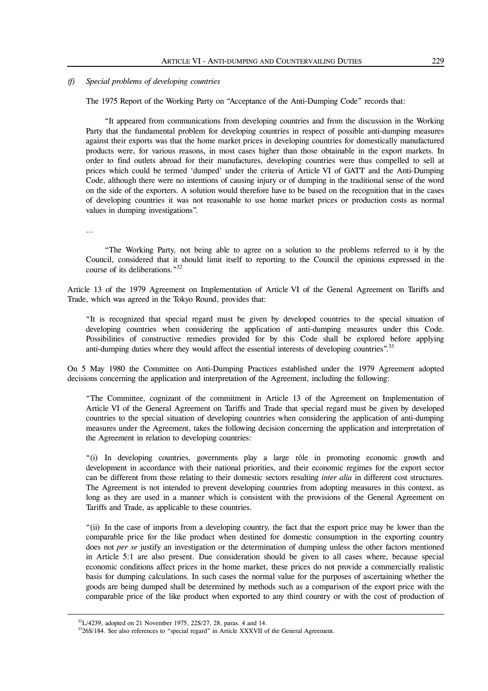#### *(f) Special problems of developing countries*

The 1975 Report of the Working Party on "Acceptance of the Anti-Dumping Code" records that:

 "It appeared from communications from developing countries and from the discussion in the Working Party that the fundamental problem for developing countries in respect of possible anti-dumping measures against their exports was that the home market prices in developing countries for domestically manufactured products were, for various reasons, in most cases higher than those obtainable in the export markets. In order to find outlets abroad for their manufactures, developing countries were thus compelled to sell at prices which could be termed 'dumped' under the criteria of Article VI of GATT and the Anti-Dumping Code, although there were no intentions of causing injury or of dumping in the traditional sense of the word on the side of the exporters. A solution would therefore have to be based on the recognition that in the cases of developing countries it was not reasonable to use home market prices or production costs as normal values in dumping investigations".

…

 $\overline{a}$ 

 "The Working Party, not being able to agree on a solution to the problems referred to it by the Council, considered that it should limit itself to reporting to the Council the opinions expressed in the course of its deliberations."32

Article 13 of the 1979 Agreement on Implementation of Article VI of the General Agreement on Tariffs and Trade, which was agreed in the Tokyo Round, provides that:

"It is recognized that special regard must be given by developed countries to the special situation of developing countries when considering the application of anti-dumping measures under this Code. Possibilities of constructive remedies provided for by this Code shall be explored before applying anti-dumping duties where they would affect the essential interests of developing countries".<sup>33</sup>

On 5 May 1980 the Committee on Anti-Dumping Practices established under the 1979 Agreement adopted decisions concerning the application and interpretation of the Agreement, including the following:

"The Committee, cognizant of the commitment in Article 13 of the Agreement on Implementation of Article VI of the General Agreement on Tariffs and Trade that special regard must be given by developed countries to the special situation of developing countries when considering the application of anti-dumping measures under the Agreement, takes the following decision concerning the application and interpretation of the Agreement in relation to developing countries:

"(i) In developing countries, governments play a large rôle in promoting economic growth and development in accordance with their national priorities, and their economic regimes for the export sector can be different from those relating to their domestic sectors resulting *inter alia* in different cost structures. The Agreement is not intended to prevent developing countries from adopting measures in this context, as long as they are used in a manner which is consistent with the provisions of the General Agreement on Tariffs and Trade, as applicable to these countries.

"(ii) In the case of imports from a developing country, the fact that the export price may be lower than the comparable price for the like product when destined for domestic consumption in the exporting country does not *per se* justify an investigation or the determination of dumping unless the other factors mentioned in Article 5:1 are also present. Due consideration should be given to all cases where, because special economic conditions affect prices in the home market, these prices do not provide a commercially realistic basis for dumping calculations. In such cases the normal value for the purposes of ascertaining whether the goods are being dumped shall be determined by methods such as a comparison of the export price with the comparable price of the like product when exported to any third country or with the cost of production of

 $32$ L/4239, adopted on 21 November 1975, 22S/27, 28, paras. 4 and 14.

<sup>&</sup>lt;sup>33</sup>26S/184. See also references to "special regard" in Article XXXVII of the General Agreement.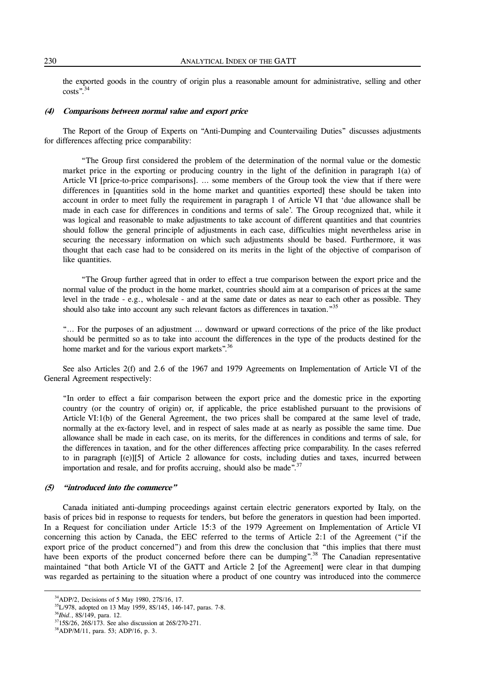the exported goods in the country of origin plus a reasonable amount for administrative, selling and other costs".34

#### **(4) Comparisons between normal value and export price**

 The Report of the Group of Experts on "Anti-Dumping and Countervailing Duties" discusses adjustments for differences affecting price comparability:

 "The Group first considered the problem of the determination of the normal value or the domestic market price in the exporting or producing country in the light of the definition in paragraph 1(a) of Article VI [price-to-price comparisons]. … some members of the Group took the view that if there were differences in [quantities sold in the home market and quantities exported] these should be taken into account in order to meet fully the requirement in paragraph 1 of Article VI that 'due allowance shall be made in each case for differences in conditions and terms of sale'. The Group recognized that, while it was logical and reasonable to make adjustments to take account of different quantities and that countries should follow the general principle of adjustments in each case, difficulties might nevertheless arise in securing the necessary information on which such adjustments should be based. Furthermore, it was thought that each case had to be considered on its merits in the light of the objective of comparison of like quantities.

 "The Group further agreed that in order to effect a true comparison between the export price and the normal value of the product in the home market, countries should aim at a comparison of prices at the same level in the trade - e.g., wholesale - and at the same date or dates as near to each other as possible. They should also take into account any such relevant factors as differences in taxation."<sup>35</sup>

"… For the purposes of an adjustment … downward or upward corrections of the price of the like product should be permitted so as to take into account the differences in the type of the products destined for the home market and for the various export markets".<sup>36</sup>

 See also Articles 2(f) and 2.6 of the 1967 and 1979 Agreements on Implementation of Article VI of the General Agreement respectively:

"In order to effect a fair comparison between the export price and the domestic price in the exporting country (or the country of origin) or, if applicable, the price established pursuant to the provisions of Article VI:1(b) of the General Agreement, the two prices shall be compared at the same level of trade, normally at the ex-factory level, and in respect of sales made at as nearly as possible the same time. Due allowance shall be made in each case, on its merits, for the differences in conditions and terms of sale, for the differences in taxation, and for the other differences affecting price comparability. In the cases referred to in paragraph [(e)][5] of Article 2 allowance for costs, including duties and taxes, incurred between importation and resale, and for profits accruing, should also be made". $37$ 

#### **(5) "introduced into the commerce"**

 Canada initiated anti-dumping proceedings against certain electric generators exported by Italy, on the basis of prices bid in response to requests for tenders, but before the generators in question had been imported. In a Request for conciliation under Article 15:3 of the 1979 Agreement on Implementation of Article VI concerning this action by Canada, the EEC referred to the terms of Article 2:1 of the Agreement ("if the export price of the product concerned") and from this drew the conclusion that "this implies that there must have been exports of the product concerned before there can be dumping".<sup>38</sup> The Canadian representative maintained "that both Article VI of the GATT and Article 2 [of the Agreement] were clear in that dumping was regarded as pertaining to the situation where a product of one country was introduced into the commerce

<sup>34</sup>ADP/2, Decisions of 5 May 1980, 27S/16, 17.

<sup>&</sup>lt;sup>35</sup>L/978, adopted on 13 May 1959, 8S/145, 146-147, paras. 7-8.

<sup>36</sup>*Ibid*., 8S/149, para. 12.

<sup>&</sup>lt;sup>37</sup>15S/26, 26S/173. See also discussion at 26S/270-271.

38ADP/M/11, para. 53; ADP/16, p. 3.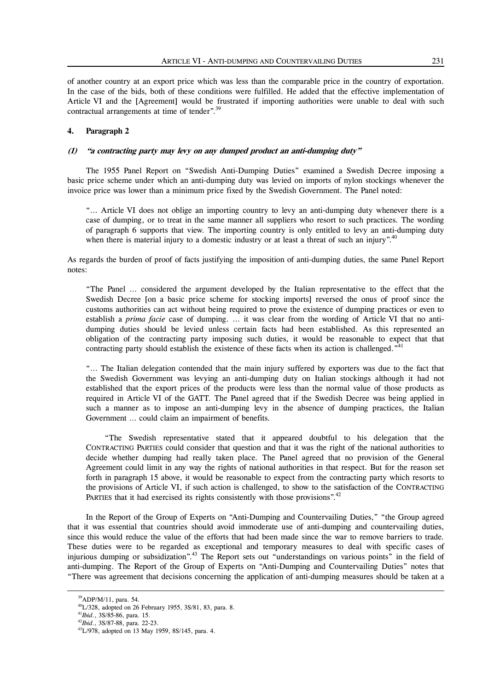of another country at an export price which was less than the comparable price in the country of exportation. In the case of the bids, both of these conditions were fulfilled. He added that the effective implementation of Article VI and the [Agreement] would be frustrated if importing authorities were unable to deal with such contractual arrangements at time of tender".<sup>39</sup>

# **4. Paragraph 2**

# **(1) "a contracting party may levy on any dumped product an anti-dumping duty"**

 The 1955 Panel Report on "Swedish Anti-Dumping Duties" examined a Swedish Decree imposing a basic price scheme under which an anti-dumping duty was levied on imports of nylon stockings whenever the invoice price was lower than a minimum price fixed by the Swedish Government. The Panel noted:

"… Article VI does not oblige an importing country to levy an anti-dumping duty whenever there is a case of dumping, or to treat in the same manner all suppliers who resort to such practices. The wording of paragraph 6 supports that view. The importing country is only entitled to levy an anti-dumping duty when there is material injury to a domestic industry or at least a threat of such an injury".<sup>40</sup>

As regards the burden of proof of facts justifying the imposition of anti-dumping duties, the same Panel Report notes:

"The Panel … considered the argument developed by the Italian representative to the effect that the Swedish Decree [on a basic price scheme for stocking imports] reversed the onus of proof since the customs authorities can act without being required to prove the existence of dumping practices or even to establish a *prima facie* case of dumping. … it was clear from the wording of Article VI that no antidumping duties should be levied unless certain facts had been established. As this represented an obligation of the contracting party imposing such duties, it would be reasonable to expect that that contracting party should establish the existence of these facts when its action is challenged."<sup>41</sup>

"… The Italian delegation contended that the main injury suffered by exporters was due to the fact that the Swedish Government was levying an anti-dumping duty on Italian stockings although it had not established that the export prices of the products were less than the normal value of those products as required in Article VI of the GATT. The Panel agreed that if the Swedish Decree was being applied in such a manner as to impose an anti-dumping levy in the absence of dumping practices, the Italian Government … could claim an impairment of benefits.

 "The Swedish representative stated that it appeared doubtful to his delegation that the CONTRACTING PARTIES could consider that question and that it was the right of the national authorities to decide whether dumping had really taken place. The Panel agreed that no provision of the General Agreement could limit in any way the rights of national authorities in that respect. But for the reason set forth in paragraph 15 above, it would be reasonable to expect from the contracting party which resorts to the provisions of Article VI, if such action is challenged, to show to the satisfaction of the CONTRACTING PARTIES that it had exercised its rights consistently with those provisions".<sup>42</sup>

 In the Report of the Group of Experts on "Anti-Dumping and Countervailing Duties," "the Group agreed that it was essential that countries should avoid immoderate use of anti-dumping and countervailing duties, since this would reduce the value of the efforts that had been made since the war to remove barriers to trade. These duties were to be regarded as exceptional and temporary measures to deal with specific cases of injurious dumping or subsidization".43 The Report sets out "understandings on various points" in the field of anti-dumping. The Report of the Group of Experts on "Anti-Dumping and Countervailing Duties" notes that "There was agreement that decisions concerning the application of anti-dumping measures should be taken at a

<sup>39</sup>ADP/M/11, para. 54.

 $^{40}$ L/328, adopted on 26 February 1955, 3S/81, 83, para. 8.

<sup>41</sup>*Ibid*., 3S/85-86, para. 15.

<sup>42</sup>*Ibid*., 3S/87-88, para. 22-23.

43L/978, adopted on 13 May 1959, 8S/145, para. 4.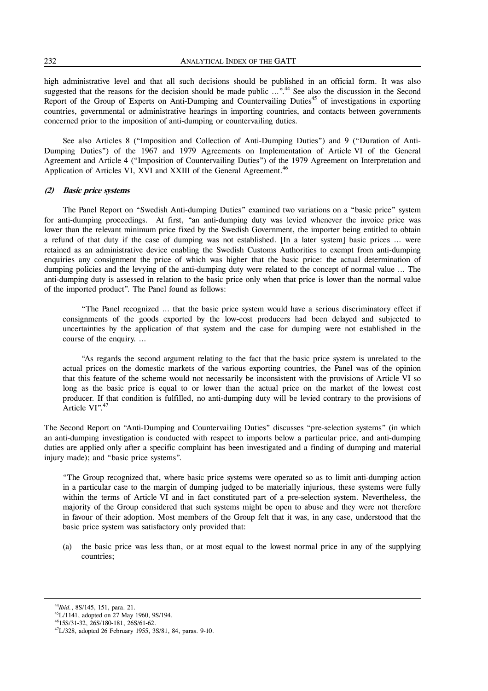high administrative level and that all such decisions should be published in an official form. It was also suggested that the reasons for the decision should be made public ...".<sup>44</sup> See also the discussion in the Second Report of the Group of Experts on Anti-Dumping and Countervailing Duties<sup>45</sup> of investigations in exporting countries, governmental or administrative hearings in importing countries, and contacts between governments concerned prior to the imposition of anti-dumping or countervailing duties.

 See also Articles 8 ("Imposition and Collection of Anti-Dumping Duties") and 9 ("Duration of Anti-Dumping Duties") of the 1967 and 1979 Agreements on Implementation of Article VI of the General Agreement and Article 4 ("Imposition of Countervailing Duties") of the 1979 Agreement on Interpretation and Application of Articles VI, XVI and XXIII of the General Agreement.<sup>46</sup>

# **(2) Basic price systems**

 The Panel Report on "Swedish Anti-dumping Duties" examined two variations on a "basic price" system for anti-dumping proceedings. At first, "an anti-dumping duty was levied whenever the invoice price was lower than the relevant minimum price fixed by the Swedish Government, the importer being entitled to obtain a refund of that duty if the case of dumping was not established. [In a later system] basic prices … were retained as an administrative device enabling the Swedish Customs Authorities to exempt from anti-dumping enquiries any consignment the price of which was higher that the basic price: the actual determination of dumping policies and the levying of the anti-dumping duty were related to the concept of normal value … The anti-dumping duty is assessed in relation to the basic price only when that price is lower than the normal value of the imported product". The Panel found as follows:

 "The Panel recognized … that the basic price system would have a serious discriminatory effect if consignments of the goods exported by the low-cost producers had been delayed and subjected to uncertainties by the application of that system and the case for dumping were not established in the course of the enquiry. …

 "As regards the second argument relating to the fact that the basic price system is unrelated to the actual prices on the domestic markets of the various exporting countries, the Panel was of the opinion that this feature of the scheme would not necessarily be inconsistent with the provisions of Article VI so long as the basic price is equal to or lower than the actual price on the market of the lowest cost producer. If that condition is fulfilled, no anti-dumping duty will be levied contrary to the provisions of Article VI".<sup>47</sup>

The Second Report on "Anti-Dumping and Countervailing Duties" discusses "pre-selection systems" (in which an anti-dumping investigation is conducted with respect to imports below a particular price, and anti-dumping duties are applied only after a specific complaint has been investigated and a finding of dumping and material injury made); and "basic price systems".

"The Group recognized that, where basic price systems were operated so as to limit anti-dumping action in a particular case to the margin of dumping judged to be materially injurious, these systems were fully within the terms of Article VI and in fact constituted part of a pre-selection system. Nevertheless, the majority of the Group considered that such systems might be open to abuse and they were not therefore in favour of their adoption. Most members of the Group felt that it was, in any case, understood that the basic price system was satisfactory only provided that:

 (a) the basic price was less than, or at most equal to the lowest normal price in any of the supplying countries;

1

<sup>44</sup>*Ibid.*, 8S/145, 151, para. 21.

45L/1141, adopted on 27 May 1960, 9S/194. 4615S/31-32, 26S/180-181, 26S/61-62.

47L/328, adopted 26 February 1955, 3S/81, 84, paras. 9-10.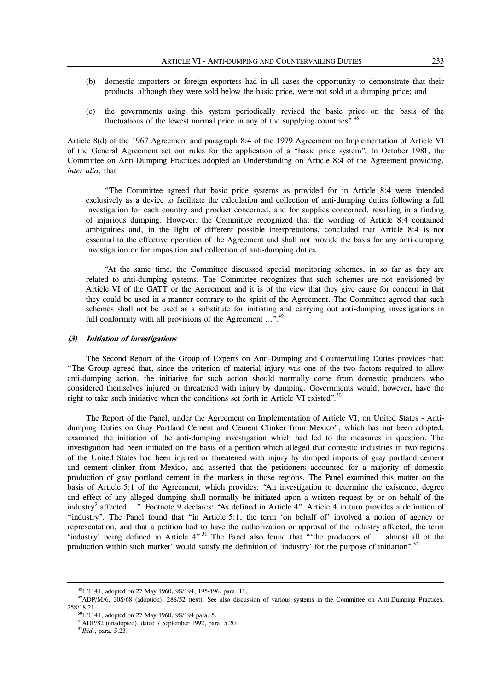- (b) domestic importers or foreign exporters had in all cases the opportunity to demonstrate that their products, although they were sold below the basic price, were not sold at a dumping price; and
- (c) the governments using this system periodically revised the basic price on the basis of the fluctuations of the lowest normal price in any of the supplying countries".<sup>48</sup>

Article 8(d) of the 1967 Agreement and paragraph 8:4 of the 1979 Agreement on Implementation of Article VI of the General Agreement set out rules for the application of a "basic price system". In October 1981, the Committee on Anti-Dumping Practices adopted an Understanding on Article 8:4 of the Agreement providing, *inter alia*, that

 "The Committee agreed that basic price systems as provided for in Article 8:4 were intended exclusively as a device to facilitate the calculation and collection of anti-dumping duties following a full investigation for each country and product concerned, and for supplies concerned, resulting in a finding of injurious dumping. However, the Committee recognized that the wording of Article 8:4 contained ambiguities and, in the light of different possible interpretations, concluded that Article 8:4 is not essential to the effective operation of the Agreement and shall not provide the basis for any anti-dumping investigation or for imposition and collection of anti-dumping duties.

 "At the same time, the Committee discussed special monitoring schemes, in so far as they are related to anti-dumping systems. The Committee recognizes that such schemes are not envisioned by Article VI of the GATT or the Agreement and it is of the view that they give cause for concern in that they could be used in a manner contrary to the spirit of the Agreement. The Committee agreed that such schemes shall not be used as a substitute for initiating and carrying out anti-dumping investigations in full conformity with all provisions of the Agreement  $\ldots$ <sup>49</sup>

#### **(3) Initiation of investigations**

 The Second Report of the Group of Experts on Anti-Dumping and Countervailing Duties provides that: "The Group agreed that, since the criterion of material injury was one of the two factors required to allow anti-dumping action, the initiative for such action should normally come from domestic producers who considered themselves injured or threatened with injury by dumping. Governments would, however, have the right to take such initiative when the conditions set forth in Article VI existed".<sup>50</sup>

 The Report of the Panel, under the Agreement on Implementation of Article VI, on United States - Antidumping Duties on Gray Portland Cement and Cement Clinker from Mexico", which has not been adopted, examined the initiation of the anti-dumping investigation which had led to the measures in question. The investigation had been initiated on the basis of a petition which alleged that domestic industries in two regions of the United States had been injured or threatened with injury by dumped imports of gray portland cement and cement clinker from Mexico, and asserted that the petitioners accounted for a majority of domestic production of gray portland cement in the markets in those regions. The Panel examined this matter on the basis of Article 5:1 of the Agreement, which provides: "An investigation to determine the existence, degree and effect of any alleged dumping shall normally be initiated upon a written request by or on behalf of the industry<sup>9</sup> affected ...". Footnote 9 declares: "As defined in Article 4". Article 4 in turn provides a definition of "industry". The Panel found that "in Article 5:1, the term 'on behalf of' involved a notion of agency or representation, and that a petition had to have the authorization or approval of the industry affected, the term 'industry' being defined in Article 4".51 The Panel also found that "'the producers of … almost all of the production within such market' would satisfy the definition of 'industry' for the purpose of initiation".<sup>52</sup>

<sup>48</sup>L/1141, adopted on 27 May 1960, 9S/194, 195-196, para. 11.

<sup>&</sup>lt;sup>49</sup>ADP/M/6, 30S/68 (adoption); 28S/52 (text). See also discussion of various systems in the Committee on Anti-Dumping Practices, 25S/18-21.

50L/1141, adopted on 27 May 1960, 9S/194 para. 5.

51ADP/82 (unadopted), dated 7 September 1992, para. 5.20.

<sup>52</sup>*Ibid*., para. 5.23.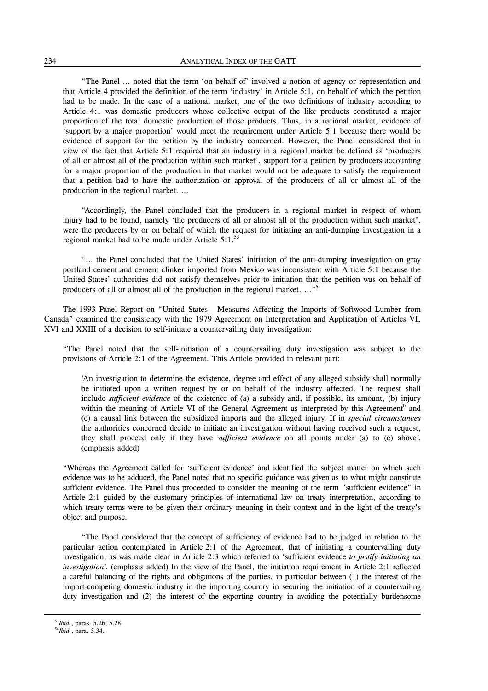"The Panel … noted that the term 'on behalf of' involved a notion of agency or representation and that Article 4 provided the definition of the term 'industry' in Article 5:1, on behalf of which the petition had to be made. In the case of a national market, one of the two definitions of industry according to Article 4:1 was domestic producers whose collective output of the like products constituted a major proportion of the total domestic production of those products. Thus, in a national market, evidence of 'support by a major proportion' would meet the requirement under Article 5:1 because there would be evidence of support for the petition by the industry concerned. However, the Panel considered that in view of the fact that Article 5:1 required that an industry in a regional market be defined as 'producers of all or almost all of the production within such market', support for a petition by producers accounting for a major proportion of the production in that market would not be adequate to satisfy the requirement that a petition had to have the authorization or approval of the producers of all or almost all of the production in the regional market. …

 "Accordingly, the Panel concluded that the producers in a regional market in respect of whom injury had to be found, namely 'the producers of all or almost all of the production within such market', were the producers by or on behalf of which the request for initiating an anti-dumping investigation in a regional market had to be made under Article  $5:1.^{53}$ 

 "… the Panel concluded that the United States' initiation of the anti-dumping investigation on gray portland cement and cement clinker imported from Mexico was inconsistent with Article 5:1 because the United States' authorities did not satisfy themselves prior to initiation that the petition was on behalf of producers of all or almost all of the production in the regional market. ..."<sup>54</sup>

 The 1993 Panel Report on "United States - Measures Affecting the Imports of Softwood Lumber from Canada" examined the consistency with the 1979 Agreement on Interpretation and Application of Articles VI, XVI and XXIII of a decision to self-initiate a countervailing duty investigation:

"The Panel noted that the self-initiation of a countervailing duty investigation was subject to the provisions of Article 2:1 of the Agreement. This Article provided in relevant part:

'An investigation to determine the existence, degree and effect of any alleged subsidy shall normally be initiated upon a written request by or on behalf of the industry affected. The request shall include *sufficient evidence* of the existence of (a) a subsidy and, if possible, its amount, (b) injury within the meaning of Article VI of the General Agreement as interpreted by this Agreement<sup>6</sup> and (c) a causal link between the subsidized imports and the alleged injury. If in *special circumstances* the authorities concerned decide to initiate an investigation without having received such a request, they shall proceed only if they have *sufficient evidence* on all points under (a) to (c) above'. (emphasis added)

"Whereas the Agreement called for 'sufficient evidence' and identified the subject matter on which such evidence was to be adduced, the Panel noted that no specific guidance was given as to what might constitute sufficient evidence. The Panel thus proceeded to consider the meaning of the term "sufficient evidence" in Article 2:1 guided by the customary principles of international law on treaty interpretation, according to which treaty terms were to be given their ordinary meaning in their context and in the light of the treaty's object and purpose.

 "The Panel considered that the concept of sufficiency of evidence had to be judged in relation to the particular action contemplated in Article 2:1 of the Agreement, that of initiating a countervailing duty investigation, as was made clear in Article 2:3 which referred to 'sufficient evidence *to justify initiating an investigation*'. (emphasis added) In the view of the Panel, the initiation requirement in Article 2:1 reflected a careful balancing of the rights and obligations of the parties, in particular between (1) the interest of the import-competing domestic industry in the importing country in securing the initiation of a countervailing duty investigation and (2) the interest of the exporting country in avoiding the potentially burdensome

<sup>53</sup>*Ibid*., paras. 5.26, 5.28.

<sup>54</sup>*Ibid*., para. 5.34.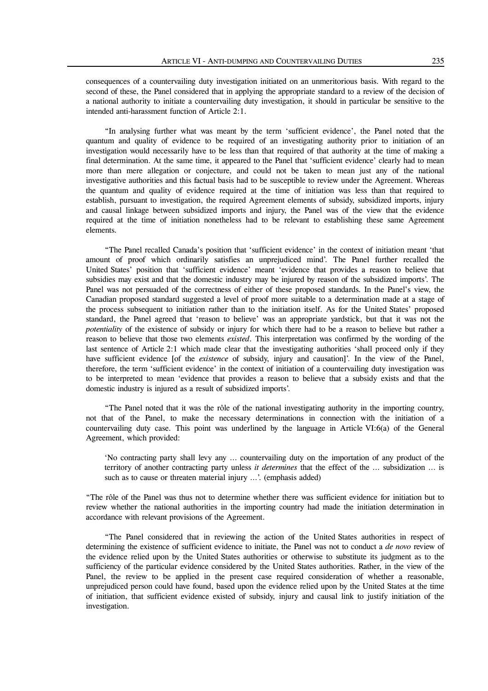consequences of a countervailing duty investigation initiated on an unmeritorious basis. With regard to the second of these, the Panel considered that in applying the appropriate standard to a review of the decision of a national authority to initiate a countervailing duty investigation, it should in particular be sensitive to the intended anti-harassment function of Article 2:1.

 "In analysing further what was meant by the term 'sufficient evidence', the Panel noted that the quantum and quality of evidence to be required of an investigating authority prior to initiation of an investigation would necessarily have to be less than that required of that authority at the time of making a final determination. At the same time, it appeared to the Panel that 'sufficient evidence' clearly had to mean more than mere allegation or conjecture, and could not be taken to mean just any of the national investigative authorities and this factual basis had to be susceptible to review under the Agreement. Whereas the quantum and quality of evidence required at the time of initiation was less than that required to establish, pursuant to investigation, the required Agreement elements of subsidy, subsidized imports, injury and causal linkage between subsidized imports and injury, the Panel was of the view that the evidence required at the time of initiation nonetheless had to be relevant to establishing these same Agreement elements.

 "The Panel recalled Canada's position that 'sufficient evidence' in the context of initiation meant 'that amount of proof which ordinarily satisfies an unprejudiced mind'. The Panel further recalled the United States' position that 'sufficient evidence' meant 'evidence that provides a reason to believe that subsidies may exist and that the domestic industry may be injured by reason of the subsidized imports'. The Panel was not persuaded of the correctness of either of these proposed standards. In the Panel's view, the Canadian proposed standard suggested a level of proof more suitable to a determination made at a stage of the process subsequent to initiation rather than to the initiation itself. As for the United States' proposed standard, the Panel agreed that 'reason to believe' was an appropriate yardstick, but that it was not the *potentiality* of the existence of subsidy or injury for which there had to be a reason to believe but rather a reason to believe that those two elements *existed*. This interpretation was confirmed by the wording of the last sentence of Article 2:1 which made clear that the investigating authorities 'shall proceed only if they have sufficient evidence [of the *existence* of subsidy, injury and causation]'. In the view of the Panel, therefore, the term 'sufficient evidence' in the context of initiation of a countervailing duty investigation was to be interpreted to mean 'evidence that provides a reason to believe that a subsidy exists and that the domestic industry is injured as a result of subsidized imports'.

 "The Panel noted that it was the rôle of the national investigating authority in the importing country, not that of the Panel, to make the necessary determinations in connection with the initiation of a countervailing duty case. This point was underlined by the language in Article VI:6(a) of the General Agreement, which provided:

'No contracting party shall levy any … countervailing duty on the importation of any product of the territory of another contracting party unless *it determines* that the effect of the … subsidization … is such as to cause or threaten material injury ...'. (emphasis added)

"The rôle of the Panel was thus not to determine whether there was sufficient evidence for initiation but to review whether the national authorities in the importing country had made the initiation determination in accordance with relevant provisions of the Agreement.

 "The Panel considered that in reviewing the action of the United States authorities in respect of determining the existence of sufficient evidence to initiate, the Panel was not to conduct a *de novo* review of the evidence relied upon by the United States authorities or otherwise to substitute its judgment as to the sufficiency of the particular evidence considered by the United States authorities. Rather, in the view of the Panel, the review to be applied in the present case required consideration of whether a reasonable, unprejudiced person could have found, based upon the evidence relied upon by the United States at the time of initiation, that sufficient evidence existed of subsidy, injury and causal link to justify initiation of the investigation.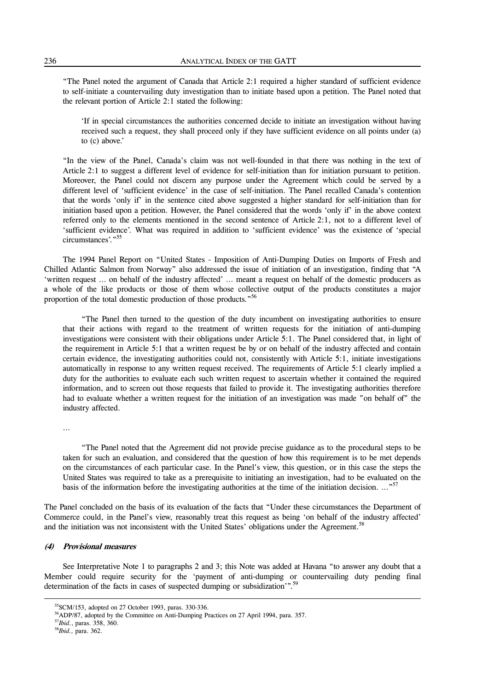"The Panel noted the argument of Canada that Article 2:1 required a higher standard of sufficient evidence to self-initiate a countervailing duty investigation than to initiate based upon a petition. The Panel noted that the relevant portion of Article 2:1 stated the following:

'If in special circumstances the authorities concerned decide to initiate an investigation without having received such a request, they shall proceed only if they have sufficient evidence on all points under (a) to (c) above.'

"In the view of the Panel, Canada's claim was not well-founded in that there was nothing in the text of Article 2:1 to suggest a different level of evidence for self-initiation than for initiation pursuant to petition. Moreover, the Panel could not discern any purpose under the Agreement which could be served by a different level of 'sufficient evidence' in the case of self-initiation. The Panel recalled Canada's contention that the words 'only if' in the sentence cited above suggested a higher standard for self-initiation than for initiation based upon a petition. However, the Panel considered that the words 'only if' in the above context referred only to the elements mentioned in the second sentence of Article 2:1, not to a different level of 'sufficient evidence'. What was required in addition to 'sufficient evidence' was the existence of 'special circumstances'."55

 The 1994 Panel Report on "United States - Imposition of Anti-Dumping Duties on Imports of Fresh and Chilled Atlantic Salmon from Norway" also addressed the issue of initiation of an investigation, finding that "A 'written request … on behalf of the industry affected' … meant a request on behalf of the domestic producers as a whole of the like products or those of them whose collective output of the products constitutes a major proportion of the total domestic production of those products."<sup>56</sup>

 "The Panel then turned to the question of the duty incumbent on investigating authorities to ensure that their actions with regard to the treatment of written requests for the initiation of anti-dumping investigations were consistent with their obligations under Article 5:1. The Panel considered that, in light of the requirement in Article 5:1 that a written request be by or on behalf of the industry affected and contain certain evidence, the investigating authorities could not, consistently with Article 5:1, initiate investigations automatically in response to any written request received. The requirements of Article 5:1 clearly implied a duty for the authorities to evaluate each such written request to ascertain whether it contained the required information, and to screen out those requests that failed to provide it. The investigating authorities therefore had to evaluate whether a written request for the initiation of an investigation was made "on behalf of" the industry affected.

…

 "The Panel noted that the Agreement did not provide precise guidance as to the procedural steps to be taken for such an evaluation, and considered that the question of how this requirement is to be met depends on the circumstances of each particular case. In the Panel's view, this question, or in this case the steps the United States was required to take as a prerequisite to initiating an investigation, had to be evaluated on the basis of the information before the investigating authorities at the time of the initiation decision. …"<sup>57</sup>

The Panel concluded on the basis of its evaluation of the facts that "Under these circumstances the Department of Commerce could, in the Panel's view, reasonably treat this request as being 'on behalf of the industry affected' and the initiation was not inconsistent with the United States' obligations under the Agreement.<sup>58</sup>

# **(4) Provisional measures**

 See Interpretative Note 1 to paragraphs 2 and 3; this Note was added at Havana "to answer any doubt that a Member could require security for the 'payment of anti-dumping or countervailing duty pending final determination of the facts in cases of suspected dumping or subsidization'".<sup>59</sup>

1

<sup>55</sup>SCM/153, adopted on 27 October 1993, paras. 330-336.

56ADP/87, adopted by the Committee on Anti-Dumping Practices on 27 April 1994, para. 357.

<sup>57</sup>*Ibid*., paras. 358, 360.

<sup>58</sup>*Ibid.,* para. 362.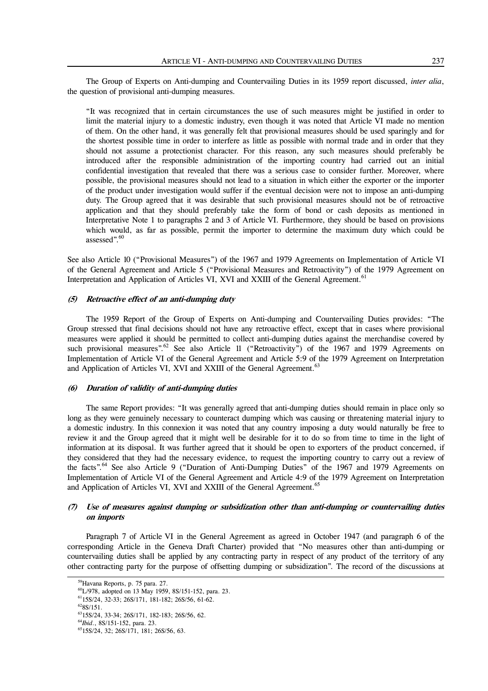The Group of Experts on Anti-dumping and Countervailing Duties in its 1959 report discussed, *inter alia*, the question of provisional anti-dumping measures.

"It was recognized that in certain circumstances the use of such measures might be justified in order to limit the material injury to a domestic industry, even though it was noted that Article VI made no mention of them. On the other hand, it was generally felt that provisional measures should be used sparingly and for the shortest possible time in order to interfere as little as possible with normal trade and in order that they should not assume a protectionist character. For this reason, any such measures should preferably be introduced after the responsible administration of the importing country had carried out an initial confidential investigation that revealed that there was a serious case to consider further. Moreover, where possible, the provisional measures should not lead to a situation in which either the exporter or the importer of the product under investigation would suffer if the eventual decision were not to impose an anti-dumping duty. The Group agreed that it was desirable that such provisional measures should not be of retroactive application and that they should preferably take the form of bond or cash deposits as mentioned in Interpretative Note 1 to paragraphs 2 and 3 of Article VI. Furthermore, they should be based on provisions which would, as far as possible, permit the importer to determine the maximum duty which could be assessed".<sup>60</sup>

See also Article 10 ("Provisional Measures") of the 1967 and 1979 Agreements on Implementation of Article VI of the General Agreement and Article 5 ("Provisional Measures and Retroactivity") of the 1979 Agreement on Interpretation and Application of Articles VI, XVI and XXIII of the General Agreement.<sup>61</sup>

# **(5) Retroactive effect of an anti-dumping duty**

 The 1959 Report of the Group of Experts on Anti-dumping and Countervailing Duties provides: "The Group stressed that final decisions should not have any retroactive effect, except that in cases where provisional measures were applied it should be permitted to collect anti-dumping duties against the merchandise covered by such provisional measures".<sup>62</sup> See also Article 11 ("Retroactivity") of the 1967 and 1979 Agreements on Implementation of Article VI of the General Agreement and Article 5:9 of the 1979 Agreement on Interpretation and Application of Articles VI, XVI and XXIII of the General Agreement.<sup>63</sup>

#### **(6) Duration of validity of anti-dumping duties**

 The same Report provides: "It was generally agreed that anti-dumping duties should remain in place only so long as they were genuinely necessary to counteract dumping which was causing or threatening material injury to a domestic industry. In this connexion it was noted that any country imposing a duty would naturally be free to review it and the Group agreed that it might well be desirable for it to do so from time to time in the light of information at its disposal. It was further agreed that it should be open to exporters of the product concerned, if they considered that they had the necessary evidence, to request the importing country to carry out a review of the facts".<sup>64</sup> See also Article 9 ("Duration of Anti-Dumping Duties" of the 1967 and 1979 Agreements on Implementation of Article VI of the General Agreement and Article 4:9 of the 1979 Agreement on Interpretation and Application of Articles VI, XVI and XXIII of the General Agreement.<sup>65</sup>

# **(7) Use of measures against dumping or subsidization other than anti-dumping or countervailing duties on imports**

 Paragraph 7 of Article VI in the General Agreement as agreed in October 1947 (and paragraph 6 of the corresponding Article in the Geneva Draft Charter) provided that "No measures other than anti-dumping or countervailing duties shall be applied by any contracting party in respect of any product of the territory of any other contracting party for the purpose of offsetting dumping or subsidization". The record of the discussions at

59Havana Reports, p. 75 para. 27.

60L/978, adopted on 13 May 1959, 8S/151-152, para. 23.

6115S/24, 32-33; 26S/171, 181-182; 26S/56, 61-62.

 $628S/151.$ 

6315S/24, 33-34; 26S/171, 182-183; 26S/56, 62.

<sup>64</sup>*Ibid*., 8S/151-152, para. 23.

6515S/24, 32; 26S/171, 181; 26S/56, 63.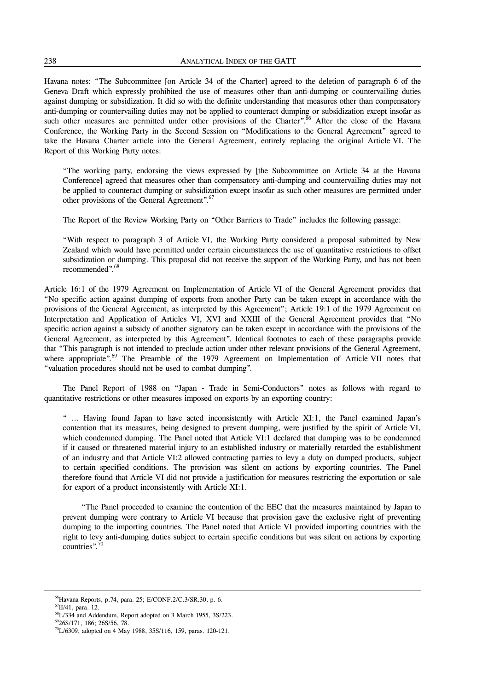Havana notes: "The Subcommittee [on Article 34 of the Charter] agreed to the deletion of paragraph 6 of the Geneva Draft which expressly prohibited the use of measures other than anti-dumping or countervailing duties against dumping or subsidization. It did so with the definite understanding that measures other than compensatory anti-dumping or countervailing duties may not be applied to counteract dumping or subsidization except insofar as such other measures are permitted under other provisions of the Charter".<sup>66</sup> After the close of the Havana Conference, the Working Party in the Second Session on "Modifications to the General Agreement" agreed to take the Havana Charter article into the General Agreement, entirely replacing the original Article VI. The Report of this Working Party notes:

"The working party, endorsing the views expressed by [the Subcommittee on Article 34 at the Havana Conference] agreed that measures other than compensatory anti-dumping and countervailing duties may not be applied to counteract dumping or subsidization except insofar as such other measures are permitted under other provisions of the General Agreement".<sup>67</sup>

The Report of the Review Working Party on "Other Barriers to Trade" includes the following passage:

"With respect to paragraph 3 of Article VI, the Working Party considered a proposal submitted by New Zealand which would have permitted under certain circumstances the use of quantitative restrictions to offset subsidization or dumping. This proposal did not receive the support of the Working Party, and has not been recommended".<sup>68</sup>

Article 16:1 of the 1979 Agreement on Implementation of Article VI of the General Agreement provides that "No specific action against dumping of exports from another Party can be taken except in accordance with the provisions of the General Agreement, as interpreted by this Agreement"; Article 19:1 of the 1979 Agreement on Interpretation and Application of Articles VI, XVI and XXIII of the General Agreement provides that "No specific action against a subsidy of another signatory can be taken except in accordance with the provisions of the General Agreement, as interpreted by this Agreement". Identical footnotes to each of these paragraphs provide that "This paragraph is not intended to preclude action under other relevant provisions of the General Agreement, where appropriate".<sup>69</sup> The Preamble of the 1979 Agreement on Implementation of Article VII notes that "valuation procedures should not be used to combat dumping".

 The Panel Report of 1988 on "Japan - Trade in Semi-Conductors" notes as follows with regard to quantitative restrictions or other measures imposed on exports by an exporting country:

" … Having found Japan to have acted inconsistently with Article XI:1, the Panel examined Japan's contention that its measures, being designed to prevent dumping, were justified by the spirit of Article VI, which condemned dumping. The Panel noted that Article VI:1 declared that dumping was to be condemned if it caused or threatened material injury to an established industry or materially retarded the establishment of an industry and that Article VI:2 allowed contracting parties to levy a duty on dumped products, subject to certain specified conditions. The provision was silent on actions by exporting countries. The Panel therefore found that Article VI did not provide a justification for measures restricting the exportation or sale for export of a product inconsistently with Article XI:1.

 "The Panel proceeded to examine the contention of the EEC that the measures maintained by Japan to prevent dumping were contrary to Article VI because that provision gave the exclusive right of preventing dumping to the importing countries. The Panel noted that Article VI provided importing countries with the right to levy anti-dumping duties subject to certain specific conditions but was silent on actions by exporting countries".<sup>70</sup>

<sup>66</sup>Havana Reports, p.74, para. 25; E/CONF.2/C.3/SR.30, p. 6. 67II/41, para. 12.

68L/334 and Addendum, Report adopted on 3 March 1955, 3S/223. 6926S/171, 186; 26S/56, 78.

 $^{70}$ L/6309, adopted on 4 May 1988, 35S/116, 159, paras. 120-121.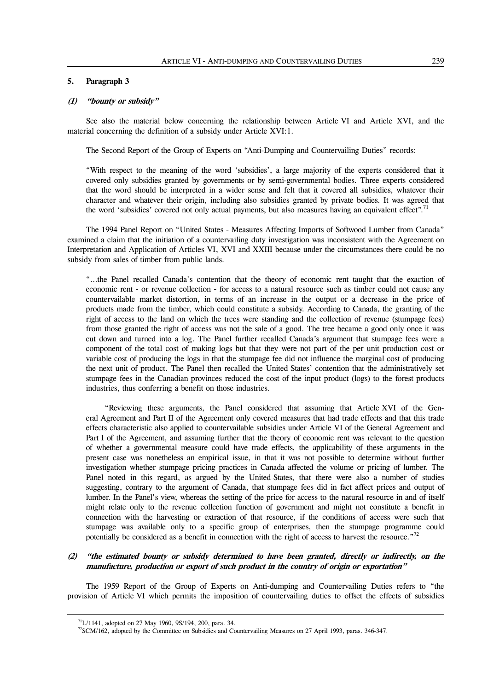# **5. Paragraph 3**

#### **(1) "bounty or subsidy"**

 See also the material below concerning the relationship between Article VI and Article XVI, and the material concerning the definition of a subsidy under Article XVI:1.

The Second Report of the Group of Experts on "Anti-Dumping and Countervailing Duties" records:

"With respect to the meaning of the word 'subsidies', a large majority of the experts considered that it covered only subsidies granted by governments or by semi-governmental bodies. Three experts considered that the word should be interpreted in a wider sense and felt that it covered all subsidies, whatever their character and whatever their origin, including also subsidies granted by private bodies. It was agreed that the word 'subsidies' covered not only actual payments, but also measures having an equivalent effect".<sup>71</sup>

 The 1994 Panel Report on "United States - Measures Affecting Imports of Softwood Lumber from Canada" examined a claim that the initiation of a countervailing duty investigation was inconsistent with the Agreement on Interpretation and Application of Articles VI, XVI and XXIII because under the circumstances there could be no subsidy from sales of timber from public lands.

"…the Panel recalled Canada's contention that the theory of economic rent taught that the exaction of economic rent - or revenue collection - for access to a natural resource such as timber could not cause any countervailable market distortion, in terms of an increase in the output or a decrease in the price of products made from the timber, which could constitute a subsidy. According to Canada, the granting of the right of access to the land on which the trees were standing and the collection of revenue (stumpage fees) from those granted the right of access was not the sale of a good. The tree became a good only once it was cut down and turned into a log. The Panel further recalled Canada's argument that stumpage fees were a component of the total cost of making logs but that they were not part of the per unit production cost or variable cost of producing the logs in that the stumpage fee did not influence the marginal cost of producing the next unit of product. The Panel then recalled the United States' contention that the administratively set stumpage fees in the Canadian provinces reduced the cost of the input product (logs) to the forest products industries, thus conferring a benefit on those industries.

 "Reviewing these arguments, the Panel considered that assuming that Article XVI of the General Agreement and Part II of the Agreement only covered measures that had trade effects and that this trade effects characteristic also applied to countervailable subsidies under Article VI of the General Agreement and Part I of the Agreement, and assuming further that the theory of economic rent was relevant to the question of whether a governmental measure could have trade effects, the applicability of these arguments in the present case was nonetheless an empirical issue, in that it was not possible to determine without further investigation whether stumpage pricing practices in Canada affected the volume or pricing of lumber. The Panel noted in this regard, as argued by the United States, that there were also a number of studies suggesting, contrary to the argument of Canada, that stumpage fees did in fact affect prices and output of lumber. In the Panel's view, whereas the setting of the price for access to the natural resource in and of itself might relate only to the revenue collection function of government and might not constitute a benefit in connection with the harvesting or extraction of that resource, if the conditions of access were such that stumpage was available only to a specific group of enterprises, then the stumpage programme could potentially be considered as a benefit in connection with the right of access to harvest the resource. $^{72}$ 

# **(2) "the estimated bounty or subsidy determined to have been granted, directly or indirectly, on the manufacture, production or export of such product in the country of origin or exportation"**

 The 1959 Report of the Group of Experts on Anti-dumping and Countervailing Duties refers to "the provision of Article VI which permits the imposition of countervailing duties to offset the effects of subsidies

 $71L/1141$ , adopted on 27 May 1960, 9S/194, 200, para. 34.

 $^{72}$ SCM/162, adopted by the Committee on Subsidies and Countervailing Measures on 27 April 1993, paras. 346-347.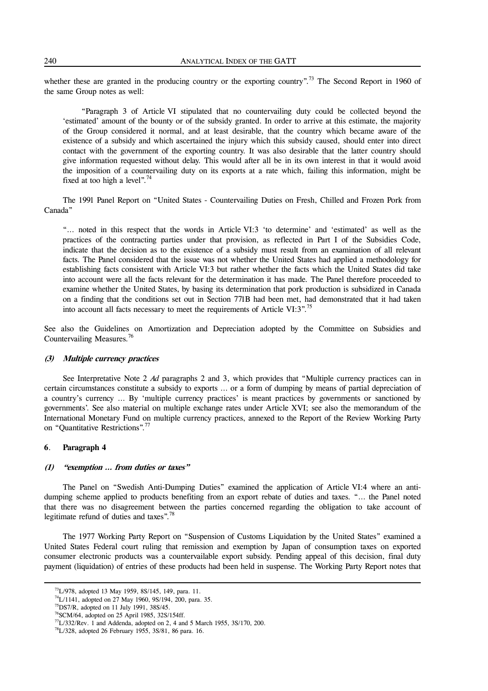whether these are granted in the producing country or the exporting country".<sup>73</sup> The Second Report in 1960 of the same Group notes as well:

 "Paragraph 3 of Article VI stipulated that no countervailing duty could be collected beyond the 'estimated' amount of the bounty or of the subsidy granted. In order to arrive at this estimate, the majority of the Group considered it normal, and at least desirable, that the country which became aware of the existence of a subsidy and which ascertained the injury which this subsidy caused, should enter into direct contact with the government of the exporting country. It was also desirable that the latter country should give information requested without delay. This would after all be in its own interest in that it would avoid the imposition of a countervailing duty on its exports at a rate which, failing this information, might be fixed at too high a level".<sup>74</sup>

 The 1991 Panel Report on "United States - Countervailing Duties on Fresh, Chilled and Frozen Pork from Canada"

"… noted in this respect that the words in Article VI:3 'to determine' and 'estimated' as well as the practices of the contracting parties under that provision, as reflected in Part I of the Subsidies Code, indicate that the decision as to the existence of a subsidy must result from an examination of all relevant facts. The Panel considered that the issue was not whether the United States had applied a methodology for establishing facts consistent with Article VI:3 but rather whether the facts which the United States did take into account were all the facts relevant for the determination it has made. The Panel therefore proceeded to examine whether the United States, by basing its determination that pork production is subsidized in Canada on a finding that the conditions set out in Section 771B had been met, had demonstrated that it had taken into account all facts necessary to meet the requirements of Article VI:3".75

See also the Guidelines on Amortization and Depreciation adopted by the Committee on Subsidies and Countervailing Measures.<sup>76</sup>

#### **(3) Multiple currency practices**

 See Interpretative Note 2 *Ad* paragraphs 2 and 3, which provides that "Multiple currency practices can in certain circumstances constitute a subsidy to exports … or a form of dumping by means of partial depreciation of a country's currency … By 'multiple currency practices' is meant practices by governments or sanctioned by governments'. See also material on multiple exchange rates under Article XVI; see also the memorandum of the International Monetary Fund on multiple currency practices, annexed to the Report of the Review Working Party on "Quantitative Restrictions".77

#### **6**. **Paragraph 4**

<u>.</u>

#### **(1) "exemption … from duties or taxes"**

 The Panel on "Swedish Anti-Dumping Duties" examined the application of Article VI:4 where an antidumping scheme applied to products benefiting from an export rebate of duties and taxes. "… the Panel noted that there was no disagreement between the parties concerned regarding the obligation to take account of legitimate refund of duties and taxes".78

 The 1977 Working Party Report on "Suspension of Customs Liquidation by the United States" examined a United States Federal court ruling that remission and exemption by Japan of consumption taxes on exported consumer electronic products was a countervailable export subsidy. Pending appeal of this decision, final duty payment (liquidation) of entries of these products had been held in suspense. The Working Party Report notes that

<sup>73</sup>L/978, adopted 13 May 1959, 8S/145, 149, para. 11.

74L/1141, adopted on 27 May 1960, 9S/194, 200, para. 35.

 $^{75}$ DS7/R, adopted on 11 July 1991, 38S/45.

76SCM/64, adopted on 25 April 1985, 32S/154ff.

 $77L/332$ /Rev. 1 and Addenda, adopted on 2, 4 and 5 March 1955, 3S/170, 200.

 $^{78}L/328$ , adopted 26 February 1955, 3S/81, 86 para. 16.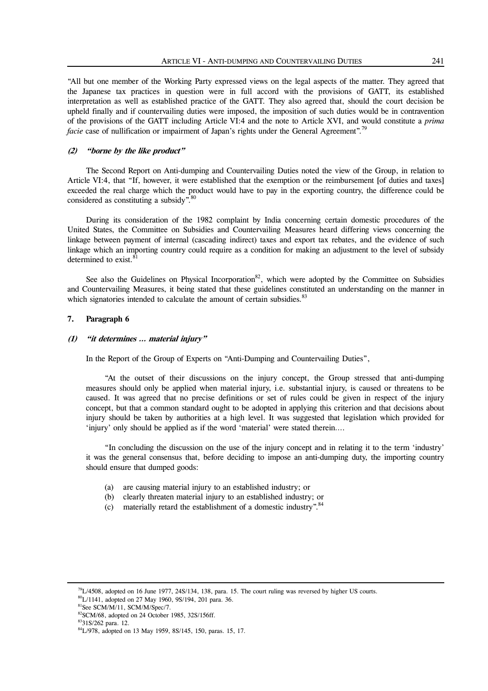"All but one member of the Working Party expressed views on the legal aspects of the matter. They agreed that the Japanese tax practices in question were in full accord with the provisions of GATT, its established interpretation as well as established practice of the GATT. They also agreed that, should the court decision be upheld finally and if countervailing duties were imposed, the imposition of such duties would be in contravention of the provisions of the GATT including Article VI:4 and the note to Article XVI, and would constitute a *prima facie* case of nullification or impairment of Japan's rights under the General Agreement".<sup>79</sup>

#### **(2) "borne by the like product"**

 The Second Report on Anti-dumping and Countervailing Duties noted the view of the Group, in relation to Article VI:4, that "If, however, it were established that the exemption or the reimbursement [of duties and taxes] exceeded the real charge which the product would have to pay in the exporting country, the difference could be considered as constituting a subsidy".<sup>80</sup>

 During its consideration of the 1982 complaint by India concerning certain domestic procedures of the United States, the Committee on Subsidies and Countervailing Measures heard differing views concerning the linkage between payment of internal (cascading indirect) taxes and export tax rebates, and the evidence of such linkage which an importing country could require as a condition for making an adjustment to the level of subsidy determined to exist.<sup>8</sup>

See also the Guidelines on Physical Incorporation<sup>82</sup>, which were adopted by the Committee on Subsidies and Countervailing Measures, it being stated that these guidelines constituted an understanding on the manner in which signatories intended to calculate the amount of certain subsidies.<sup>83</sup>

# **7. Paragraph 6**

#### **(1) "it determines … material injury"**

In the Report of the Group of Experts on "Anti-Dumping and Countervailing Duties",

 "At the outset of their discussions on the injury concept, the Group stressed that anti-dumping measures should only be applied when material injury, i.e. substantial injury, is caused or threatens to be caused. It was agreed that no precise definitions or set of rules could be given in respect of the injury concept, but that a common standard ought to be adopted in applying this criterion and that decisions about injury should be taken by authorities at a high level. It was suggested that legislation which provided for 'injury' only should be applied as if the word 'material' were stated therein….

 "In concluding the discussion on the use of the injury concept and in relating it to the term 'industry' it was the general consensus that, before deciding to impose an anti-dumping duty, the importing country should ensure that dumped goods:

- (a) are causing material injury to an established industry; or
- (b) clearly threaten material injury to an established industry; or
- (c) materially retard the establishment of a domestic industry".  $84$

 $79L/4508$ , adopted on 16 June 1977, 24S/134, 138, para. 15. The court ruling was reversed by higher US courts.

80L/1141, adopted on 27 May 1960, 9S/194, 201 para. 36.

<sup>&</sup>lt;sup>81</sup>See SCM/M/11, SCM/M/Spec/7.

 $82$ SCM/68, adopted on 24 October 1985, 32S/156ff. 8331S/262 para. 12.

84L/978, adopted on 13 May 1959, 8S/145, 150, paras. 15, 17.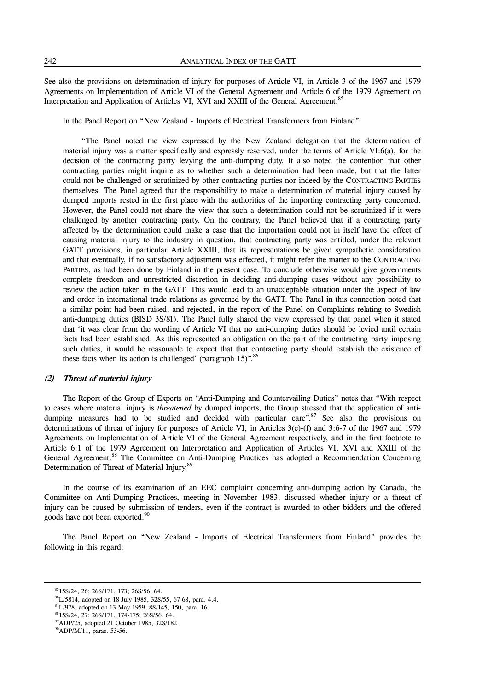See also the provisions on determination of injury for purposes of Article VI, in Article 3 of the 1967 and 1979 Agreements on Implementation of Article VI of the General Agreement and Article 6 of the 1979 Agreement on Interpretation and Application of Articles VI, XVI and XXIII of the General Agreement.<sup>85</sup>

In the Panel Report on "New Zealand - Imports of Electrical Transformers from Finland"

 "The Panel noted the view expressed by the New Zealand delegation that the determination of material injury was a matter specifically and expressly reserved, under the terms of Article VI:6(a), for the decision of the contracting party levying the anti-dumping duty. It also noted the contention that other contracting parties might inquire as to whether such a determination had been made, but that the latter could not be challenged or scrutinized by other contracting parties nor indeed by the CONTRACTING PARTIES themselves. The Panel agreed that the responsibility to make a determination of material injury caused by dumped imports rested in the first place with the authorities of the importing contracting party concerned. However, the Panel could not share the view that such a determination could not be scrutinized if it were challenged by another contracting party. On the contrary, the Panel believed that if a contracting party affected by the determination could make a case that the importation could not in itself have the effect of causing material injury to the industry in question, that contracting party was entitled, under the relevant GATT provisions, in particular Article XXIII, that its representations be given sympathetic consideration and that eventually, if no satisfactory adjustment was effected, it might refer the matter to the CONTRACTING PARTIES, as had been done by Finland in the present case. To conclude otherwise would give governments complete freedom and unrestricted discretion in deciding anti-dumping cases without any possibility to review the action taken in the GATT. This would lead to an unacceptable situation under the aspect of law and order in international trade relations as governed by the GATT. The Panel in this connection noted that a similar point had been raised, and rejected, in the report of the Panel on Complaints relating to Swedish anti-dumping duties (BISD 3S/81). The Panel fully shared the view expressed by that panel when it stated that 'it was clear from the wording of Article VI that no anti-dumping duties should be levied until certain facts had been established. As this represented an obligation on the part of the contracting party imposing such duties, it would be reasonable to expect that that contracting party should establish the existence of these facts when its action is challenged' (paragraph  $15$ )".<sup>86</sup>

# **(2) Threat of material injury**

 The Report of the Group of Experts on "Anti-Dumping and Countervailing Duties" notes that "With respect to cases where material injury is *threatened* by dumped imports, the Group stressed that the application of antidumping measures had to be studied and decided with particular care".<sup>87</sup> See also the provisions on determinations of threat of injury for purposes of Article VI, in Articles 3(e)-(f) and 3:6-7 of the 1967 and 1979 Agreements on Implementation of Article VI of the General Agreement respectively, and in the first footnote to Article 6:1 of the 1979 Agreement on Interpretation and Application of Articles VI, XVI and XXIII of the General Agreement.<sup>88</sup> The Committee on Anti-Dumping Practices has adopted a Recommendation Concerning Determination of Threat of Material Injury.<sup>89</sup>

 In the course of its examination of an EEC complaint concerning anti-dumping action by Canada, the Committee on Anti-Dumping Practices, meeting in November 1983, discussed whether injury or a threat of injury can be caused by submission of tenders, even if the contract is awarded to other bidders and the offered goods have not been exported.<sup>90</sup>

 The Panel Report on "New Zealand - Imports of Electrical Transformers from Finland" provides the following in this regard:

<sup>8515</sup>S/24, 26; 26S/171, 173; 26S/56, 64.

 ${}^{86}L/5814$ , adopted on 18 July 1985, 32S/55, 67-68, para. 4.4.

<sup>&</sup>lt;sup>87</sup>L/978, adopted on 13 May 1959, 8S/145, 150, para. 16.

8815S/24, 27; 26S/171, 174-175; 26S/56, 64.

89ADP/25, adopted 21 October 1985, 32S/182.

<sup>&</sup>lt;sup>90</sup>ADP/M/11, paras. 53-56.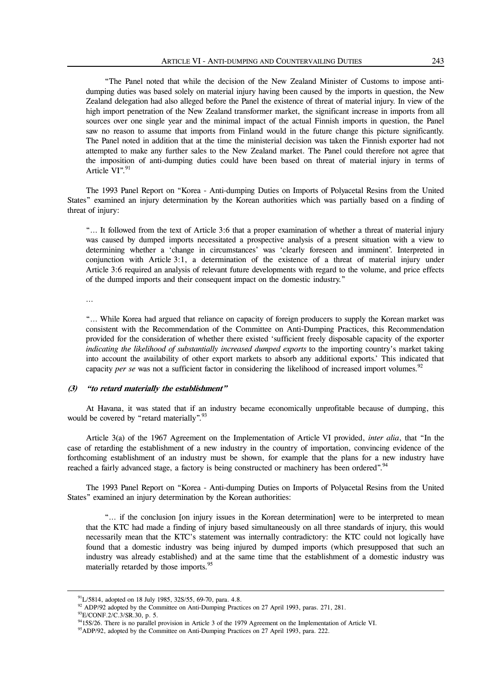"The Panel noted that while the decision of the New Zealand Minister of Customs to impose antidumping duties was based solely on material injury having been caused by the imports in question, the New Zealand delegation had also alleged before the Panel the existence of threat of material injury. In view of the high import penetration of the New Zealand transformer market, the significant increase in imports from all sources over one single year and the minimal impact of the actual Finnish imports in question, the Panel saw no reason to assume that imports from Finland would in the future change this picture significantly. The Panel noted in addition that at the time the ministerial decision was taken the Finnish exporter had not attempted to make any further sales to the New Zealand market. The Panel could therefore not agree that the imposition of anti-dumping duties could have been based on threat of material injury in terms of Article  $VI$ <sup>", 91</sup>

 The 1993 Panel Report on "Korea - Anti-dumping Duties on Imports of Polyacetal Resins from the United States" examined an injury determination by the Korean authorities which was partially based on a finding of threat of injury:

"… It followed from the text of Article 3:6 that a proper examination of whether a threat of material injury was caused by dumped imports necessitated a prospective analysis of a present situation with a view to determining whether a 'change in circumstances' was 'clearly foreseen and imminent'. Interpreted in conjunction with Article 3:1, a determination of the existence of a threat of material injury under Article 3:6 required an analysis of relevant future developments with regard to the volume, and price effects of the dumped imports and their consequent impact on the domestic industry."

…

"… While Korea had argued that reliance on capacity of foreign producers to supply the Korean market was consistent with the Recommendation of the Committee on Anti-Dumping Practices, this Recommendation provided for the consideration of whether there existed 'sufficient freely disposable capacity of the exporter *indicating the likelihood of substantially increased dumped exports* to the importing country's market taking into account the availability of other export markets to absorb any additional exports.' This indicated that capacity *per se* was not a sufficient factor in considering the likelihood of increased import volumes.<sup>92</sup>

#### **(3) "to retard materially the establishment"**

 At Havana, it was stated that if an industry became economically unprofitable because of dumping, this would be covered by "retard materially".<sup>93</sup>

 Article 3(a) of the 1967 Agreement on the Implementation of Article VI provided, *inter alia*, that "In the case of retarding the establishment of a new industry in the country of importation, convincing evidence of the forthcoming establishment of an industry must be shown, for example that the plans for a new industry have reached a fairly advanced stage, a factory is being constructed or machinery has been ordered".<sup>94</sup>

 The 1993 Panel Report on "Korea - Anti-dumping Duties on Imports of Polyacetal Resins from the United States" examined an injury determination by the Korean authorities:

 "… if the conclusion [on injury issues in the Korean determination] were to be interpreted to mean that the KTC had made a finding of injury based simultaneously on all three standards of injury, this would necessarily mean that the KTC's statement was internally contradictory: the KTC could not logically have found that a domestic industry was being injured by dumped imports (which presupposed that such an industry was already established) and at the same time that the establishment of a domestic industry was materially retarded by those imports.<sup>95</sup>

 $^{91}$ L/5814, adopted on 18 July 1985, 32S/55, 69-70, para. 4.8.

<sup>&</sup>lt;sup>92</sup> ADP/92 adopted by the Committee on Anti-Dumping Practices on 27 April 1993, paras. 271, 281.

93E/CONF.2/C.3/SR.30, p. 5.

<sup>9415</sup>S/26. There is no parallel provision in Article 3 of the 1979 Agreement on the Implementation of Article VI.

<sup>&</sup>lt;sup>95</sup>ADP/92, adopted by the Committee on Anti-Dumping Practices on 27 April 1993, para. 222.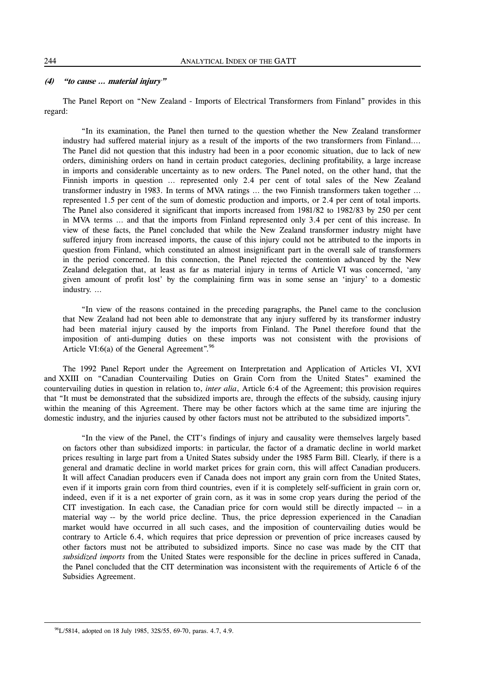# **(4) "to cause … material injury"**

 The Panel Report on "New Zealand - Imports of Electrical Transformers from Finland" provides in this regard:

 "In its examination, the Panel then turned to the question whether the New Zealand transformer industry had suffered material injury as a result of the imports of the two transformers from Finland…. The Panel did not question that this industry had been in a poor economic situation, due to lack of new orders, diminishing orders on hand in certain product categories, declining profitability, a large increase in imports and considerable uncertainty as to new orders. The Panel noted, on the other hand, that the Finnish imports in question … represented only 2.4 per cent of total sales of the New Zealand transformer industry in 1983. In terms of MVA ratings … the two Finnish transformers taken together … represented 1.5 per cent of the sum of domestic production and imports, or 2.4 per cent of total imports. The Panel also considered it significant that imports increased from 1981/82 to 1982/83 by 250 per cent in MVA terms … and that the imports from Finland represented only 3.4 per cent of this increase. In view of these facts, the Panel concluded that while the New Zealand transformer industry might have suffered injury from increased imports, the cause of this injury could not be attributed to the imports in question from Finland, which constituted an almost insignificant part in the overall sale of transformers in the period concerned. In this connection, the Panel rejected the contention advanced by the New Zealand delegation that, at least as far as material injury in terms of Article VI was concerned, 'any given amount of profit lost' by the complaining firm was in some sense an 'injury' to a domestic industry. …

 "In view of the reasons contained in the preceding paragraphs, the Panel came to the conclusion that New Zealand had not been able to demonstrate that any injury suffered by its transformer industry had been material injury caused by the imports from Finland. The Panel therefore found that the imposition of anti-dumping duties on these imports was not consistent with the provisions of Article VI:6(a) of the General Agreement". $96$ 

 The 1992 Panel Report under the Agreement on Interpretation and Application of Articles VI, XVI and XXIII on "Canadian Countervailing Duties on Grain Corn from the United States" examined the countervailing duties in question in relation to, *inter alia*, Article 6:4 of the Agreement; this provision requires that "It must be demonstrated that the subsidized imports are, through the effects of the subsidy, causing injury within the meaning of this Agreement. There may be other factors which at the same time are injuring the domestic industry, and the injuries caused by other factors must not be attributed to the subsidized imports".

 "In the view of the Panel, the CIT's findings of injury and causality were themselves largely based on factors other than subsidized imports: in particular, the factor of a dramatic decline in world market prices resulting in large part from a United States subsidy under the 1985 Farm Bill. Clearly, if there is a general and dramatic decline in world market prices for grain corn, this will affect Canadian producers. It will affect Canadian producers even if Canada does not import any grain corn from the United States, even if it imports grain corn from third countries, even if it is completely self-sufficient in grain corn or, indeed, even if it is a net exporter of grain corn, as it was in some crop years during the period of the CIT investigation. In each case, the Canadian price for corn would still be directly impacted -- in a material way -- by the world price decline. Thus, the price depression experienced in the Canadian market would have occurred in all such cases, and the imposition of countervailing duties would be contrary to Article 6.4, which requires that price depression or prevention of price increases caused by other factors must not be attributed to subsidized imports. Since no case was made by the CIT that *subsidized imports* from the United States were responsible for the decline in prices suffered in Canada, the Panel concluded that the CIT determination was inconsistent with the requirements of Article 6 of the Subsidies Agreement.

<sup>96</sup>L/5814, adopted on 18 July 1985, 32S/55, 69-70, paras. 4.7, 4.9.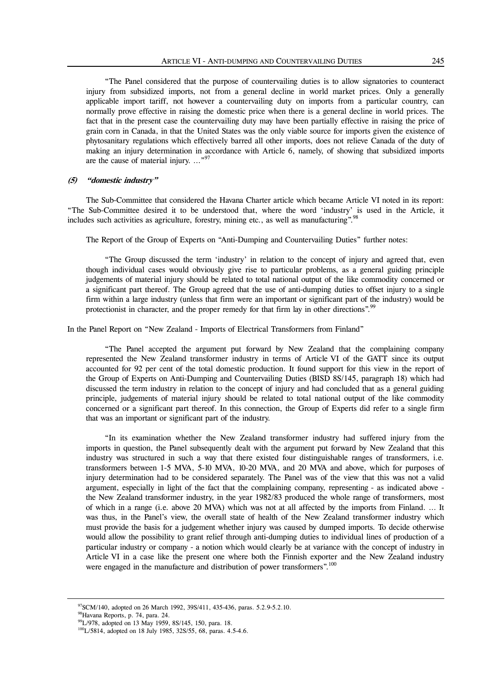"The Panel considered that the purpose of countervailing duties is to allow signatories to counteract injury from subsidized imports, not from a general decline in world market prices. Only a generally applicable import tariff, not however a countervailing duty on imports from a particular country, can normally prove effective in raising the domestic price when there is a general decline in world prices. The fact that in the present case the countervailing duty may have been partially effective in raising the price of grain corn in Canada, in that the United States was the only viable source for imports given the existence of phytosanitary regulations which effectively barred all other imports, does not relieve Canada of the duty of making an injury determination in accordance with Article 6, namely, of showing that subsidized imports are the cause of material injury. ..."<sup>97</sup>

#### **(5) "domestic industry"**

 The Sub-Committee that considered the Havana Charter article which became Article VI noted in its report: "The Sub-Committee desired it to be understood that, where the word 'industry' is used in the Article, it includes such activities as agriculture, forestry, mining etc., as well as manufacturing".<sup>98</sup>

The Report of the Group of Experts on "Anti-Dumping and Countervailing Duties" further notes:

 "The Group discussed the term 'industry' in relation to the concept of injury and agreed that, even though individual cases would obviously give rise to particular problems, as a general guiding principle judgements of material injury should be related to total national output of the like commodity concerned or a significant part thereof. The Group agreed that the use of anti-dumping duties to offset injury to a single firm within a large industry (unless that firm were an important or significant part of the industry) would be protectionist in character, and the proper remedy for that firm lay in other directions".<sup>99</sup>

In the Panel Report on "New Zealand - Imports of Electrical Transformers from Finland"

 "The Panel accepted the argument put forward by New Zealand that the complaining company represented the New Zealand transformer industry in terms of Article VI of the GATT since its output accounted for 92 per cent of the total domestic production. It found support for this view in the report of the Group of Experts on Anti-Dumping and Countervailing Duties (BISD 8S/145, paragraph 18) which had discussed the term industry in relation to the concept of injury and had concluded that as a general guiding principle, judgements of material injury should be related to total national output of the like commodity concerned or a significant part thereof. In this connection, the Group of Experts did refer to a single firm that was an important or significant part of the industry.

 "In its examination whether the New Zealand transformer industry had suffered injury from the imports in question, the Panel subsequently dealt with the argument put forward by New Zealand that this industry was structured in such a way that there existed four distinguishable ranges of transformers, i.e. transformers between 1-5 MVA, 5-10 MVA, 10-20 MVA, and 20 MVA and above, which for purposes of injury determination had to be considered separately. The Panel was of the view that this was not a valid argument, especially in light of the fact that the complaining company, representing - as indicated above the New Zealand transformer industry, in the year 1982/83 produced the whole range of transformers, most of which in a range (i.e. above 20 MVA) which was not at all affected by the imports from Finland. … It was thus, in the Panel's view, the overall state of health of the New Zealand transformer industry which must provide the basis for a judgement whether injury was caused by dumped imports. To decide otherwise would allow the possibility to grant relief through anti-dumping duties to individual lines of production of a particular industry or company - a notion which would clearly be at variance with the concept of industry in Article VI in a case like the present one where both the Finnish exporter and the New Zealand industry were engaged in the manufacture and distribution of power transformers".<sup>100</sup>

l

<sup>97</sup>SCM/140, adopted on 26 March 1992, 39S/411, 435-436, paras. 5.2.9-5.2.10.

98Havana Reports, p. 74, para. 24.

<sup>&</sup>lt;sup>99</sup>L/978, adopted on 13 May 1959, 8S/145, 150, para. 18.

<sup>&</sup>lt;sup>100</sup>L/5814, adopted on 18 July 1985, 32S/55, 68, paras. 4.5-4.6.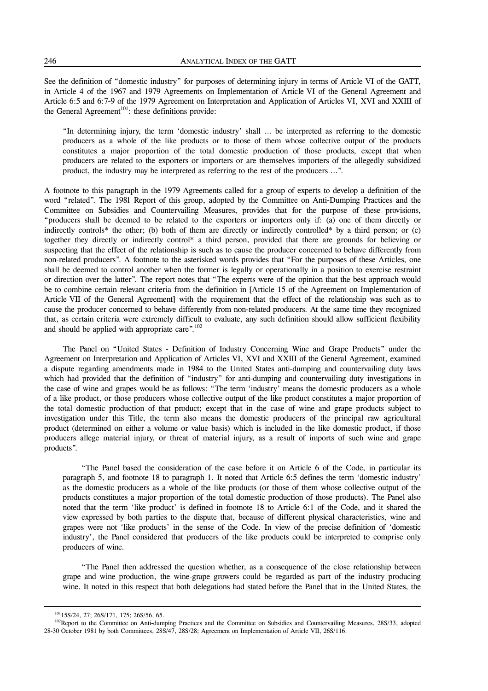See the definition of "domestic industry" for purposes of determining injury in terms of Article VI of the GATT, in Article 4 of the 1967 and 1979 Agreements on Implementation of Article VI of the General Agreement and Article 6:5 and 6:7-9 of the 1979 Agreement on Interpretation and Application of Articles VI, XVI and XXIII of the General Agreement<sup>101</sup>: these definitions provide:

"In determining injury, the term 'domestic industry' shall … be interpreted as referring to the domestic producers as a whole of the like products or to those of them whose collective output of the products constitutes a major proportion of the total domestic production of those products, except that when producers are related to the exporters or importers or are themselves importers of the allegedly subsidized product, the industry may be interpreted as referring to the rest of the producers …".

A footnote to this paragraph in the 1979 Agreements called for a group of experts to develop a definition of the word "related". The 1981 Report of this group, adopted by the Committee on Anti-Dumping Practices and the Committee on Subsidies and Countervailing Measures, provides that for the purpose of these provisions, "producers shall be deemed to be related to the exporters or importers only if: (a) one of them directly or indirectly controls\* the other; (b) both of them are directly or indirectly controlled\* by a third person; or (c) together they directly or indirectly control\* a third person, provided that there are grounds for believing or suspecting that the effect of the relationship is such as to cause the producer concerned to behave differently from non-related producers". A footnote to the asterisked words provides that "For the purposes of these Articles, one shall be deemed to control another when the former is legally or operationally in a position to exercise restraint or direction over the latter". The report notes that "The experts were of the opinion that the best approach would be to combine certain relevant criteria from the definition in [Article 15 of the Agreement on Implementation of Article VII of the General Agreement] with the requirement that the effect of the relationship was such as to cause the producer concerned to behave differently from non-related producers. At the same time they recognized that, as certain criteria were extremely difficult to evaluate, any such definition should allow sufficient flexibility and should be applied with appropriate care".<sup>102</sup>

 The Panel on "United States - Definition of Industry Concerning Wine and Grape Products" under the Agreement on Interpretation and Application of Articles VI, XVI and XXIII of the General Agreement, examined a dispute regarding amendments made in 1984 to the United States anti-dumping and countervailing duty laws which had provided that the definition of "industry" for anti-dumping and countervailing duty investigations in the case of wine and grapes would be as follows: "The term 'industry' means the domestic producers as a whole of a like product, or those producers whose collective output of the like product constitutes a major proportion of the total domestic production of that product; except that in the case of wine and grape products subject to investigation under this Title, the term also means the domestic producers of the principal raw agricultural product (determined on either a volume or value basis) which is included in the like domestic product, if those producers allege material injury, or threat of material injury, as a result of imports of such wine and grape products".

 "The Panel based the consideration of the case before it on Article 6 of the Code, in particular its paragraph 5, and footnote 18 to paragraph 1. It noted that Article 6:5 defines the term 'domestic industry' as the domestic producers as a whole of the like products (or those of them whose collective output of the products constitutes a major proportion of the total domestic production of those products). The Panel also noted that the term 'like product' is defined in footnote 18 to Article 6:1 of the Code, and it shared the view expressed by both parties to the dispute that, because of different physical characteristics, wine and grapes were not 'like products' in the sense of the Code. In view of the precise definition of 'domestic industry', the Panel considered that producers of the like products could be interpreted to comprise only producers of wine.

 "The Panel then addressed the question whether, as a consequence of the close relationship between grape and wine production, the wine-grape growers could be regarded as part of the industry producing wine. It noted in this respect that both delegations had stated before the Panel that in the United States, the

<sup>101&</sup>lt;sub>15S</sub>/24, 27; 26S/171, 175; 26S/56, 65.

<sup>&</sup>lt;sup>102</sup>Report to the Committee on Anti-dumping Practices and the Committee on Subsidies and Countervailing Measures, 28S/33, adopted 28-30 October 1981 by both Committees, 28S/47, 28S/28; Agreement on Implementation of Article VII, 26S/116.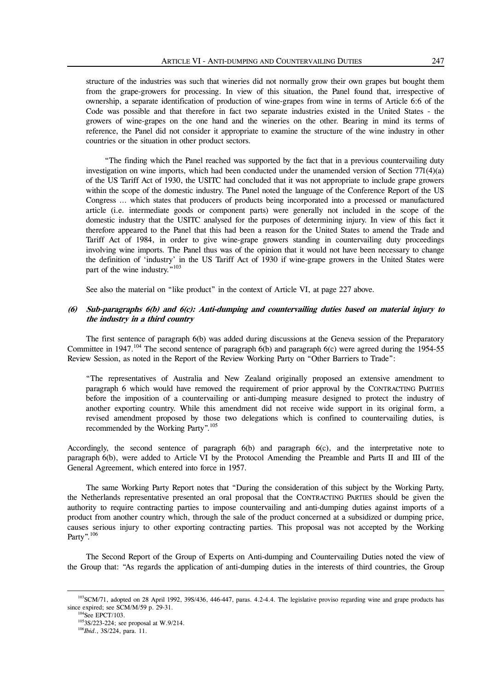structure of the industries was such that wineries did not normally grow their own grapes but bought them from the grape-growers for processing. In view of this situation, the Panel found that, irrespective of ownership, a separate identification of production of wine-grapes from wine in terms of Article 6:6 of the Code was possible and that therefore in fact two separate industries existed in the United States - the growers of wine-grapes on the one hand and the wineries on the other. Bearing in mind its terms of reference, the Panel did not consider it appropriate to examine the structure of the wine industry in other countries or the situation in other product sectors.

 "The finding which the Panel reached was supported by the fact that in a previous countervailing duty investigation on wine imports, which had been conducted under the unamended version of Section 771(4)(a) of the US Tariff Act of 1930, the USITC had concluded that it was not appropriate to include grape growers within the scope of the domestic industry. The Panel noted the language of the Conference Report of the US Congress … which states that producers of products being incorporated into a processed or manufactured article (i.e. intermediate goods or component parts) were generally not included in the scope of the domestic industry that the USITC analysed for the purposes of determining injury. In view of this fact it therefore appeared to the Panel that this had been a reason for the United States to amend the Trade and Tariff Act of 1984, in order to give wine-grape growers standing in countervailing duty proceedings involving wine imports. The Panel thus was of the opinion that it would not have been necessary to change the definition of 'industry' in the US Tariff Act of 1930 if wine-grape growers in the United States were part of the wine industry."<sup>103</sup>

See also the material on "like product" in the context of Article VI, at page 227 above.

# **(6) Sub-paragraphs 6(b) and 6(c): Anti-dumping and countervailing duties based on material injury to the industry in a third country**

 The first sentence of paragraph 6(b) was added during discussions at the Geneva session of the Preparatory Committee in 1947.<sup>104</sup> The second sentence of paragraph  $6(b)$  and paragraph  $6(c)$  were agreed during the 1954-55 Review Session, as noted in the Report of the Review Working Party on "Other Barriers to Trade":

"The representatives of Australia and New Zealand originally proposed an extensive amendment to paragraph 6 which would have removed the requirement of prior approval by the CONTRACTING PARTIES before the imposition of a countervailing or anti-dumping measure designed to protect the industry of another exporting country. While this amendment did not receive wide support in its original form, a revised amendment proposed by those two delegations which is confined to countervailing duties, is recommended by the Working Party".105

Accordingly, the second sentence of paragraph 6(b) and paragraph 6(c), and the interpretative note to paragraph 6(b), were added to Article VI by the Protocol Amending the Preamble and Parts II and III of the General Agreement, which entered into force in 1957.

 The same Working Party Report notes that "During the consideration of this subject by the Working Party, the Netherlands representative presented an oral proposal that the CONTRACTING PARTIES should be given the authority to require contracting parties to impose countervailing and anti-dumping duties against imports of a product from another country which, through the sale of the product concerned at a subsidized or dumping price, causes serious injury to other exporting contracting parties. This proposal was not accepted by the Working Party".<sup>106</sup>

 The Second Report of the Group of Experts on Anti-dumping and Countervailing Duties noted the view of the Group that: "As regards the application of anti-dumping duties in the interests of third countries, the Group

<sup>&</sup>lt;sup>103</sup>SCM/71, adopted on 28 April 1992, 39S/436, 446-447, paras. 4.2-4.4. The legislative proviso regarding wine and grape products has since expired; see SCM/M/59 p. 29-31.

<sup>&</sup>lt;sup>104</sup>See EPCT/103.

1053S/223-224; see proposal at W.9/214.

<sup>106</sup>*Ibid*., 3S/224, para. 11.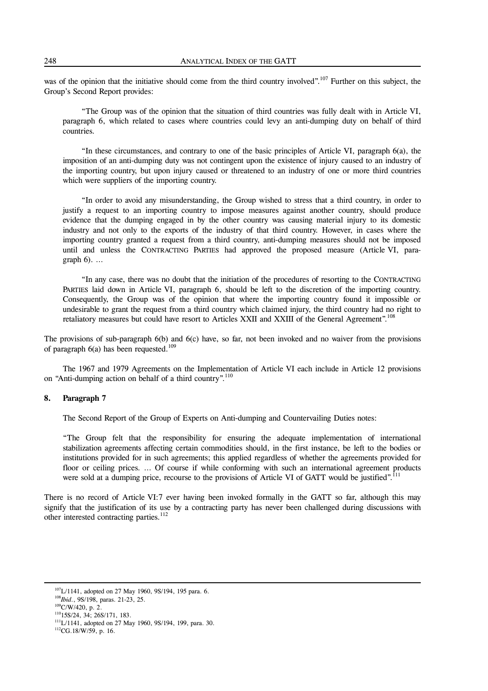was of the opinion that the initiative should come from the third country involved".<sup>107</sup> Further on this subject, the Group's Second Report provides:

 "The Group was of the opinion that the situation of third countries was fully dealt with in Article VI, paragraph 6, which related to cases where countries could levy an anti-dumping duty on behalf of third countries.

 "In these circumstances, and contrary to one of the basic principles of Article VI, paragraph 6(a), the imposition of an anti-dumping duty was not contingent upon the existence of injury caused to an industry of the importing country, but upon injury caused or threatened to an industry of one or more third countries which were suppliers of the importing country.

 "In order to avoid any misunderstanding, the Group wished to stress that a third country, in order to justify a request to an importing country to impose measures against another country, should produce evidence that the dumping engaged in by the other country was causing material injury to its domestic industry and not only to the exports of the industry of that third country. However, in cases where the importing country granted a request from a third country, anti-dumping measures should not be imposed until and unless the CONTRACTING PARTIES had approved the proposed measure (Article VI, paragraph  $6$ ). ...

 "In any case, there was no doubt that the initiation of the procedures of resorting to the CONTRACTING PARTIES laid down in Article VI, paragraph 6, should be left to the discretion of the importing country. Consequently, the Group was of the opinion that where the importing country found it impossible or undesirable to grant the request from a third country which claimed injury, the third country had no right to retaliatory measures but could have resort to Articles XXII and XXIII of the General Agreement".<sup>108</sup>

The provisions of sub-paragraph 6(b) and 6(c) have, so far, not been invoked and no waiver from the provisions of paragraph  $6(a)$  has been requested.<sup>109</sup>

 The 1967 and 1979 Agreements on the Implementation of Article VI each include in Article 12 provisions on "Anti-dumping action on behalf of a third country".<sup>110</sup>

# **8. Paragraph 7**

The Second Report of the Group of Experts on Anti-dumping and Countervailing Duties notes:

 "The Group felt that the responsibility for ensuring the adequate implementation of international stabilization agreements affecting certain commodities should, in the first instance, be left to the bodies or institutions provided for in such agreements; this applied regardless of whether the agreements provided for floor or ceiling prices. ... Of course if while conforming with such an international agreement products were sold at a dumping price, recourse to the provisions of Article VI of GATT would be justified".<sup>111</sup>

There is no record of Article VI:7 ever having been invoked formally in the GATT so far, although this may signify that the justification of its use by a contracting party has never been challenged during discussions with other interested contracting parties.<sup>112</sup>

<sup>&</sup>lt;sup>107</sup>L/1141, adopted on 27 May 1960, 9S/194, 195 para. 6.

<sup>108</sup>*Ibid*., 9S/198, paras. 21-23, 25.

 $109$ C/W/420, p. 2.

11015S/24, 34; 26S/171, 183.

111L/1141, adopted on 27 May 1960, 9S/194, 199, para. 30.

 $112$ CG.18/W/59, p. 16.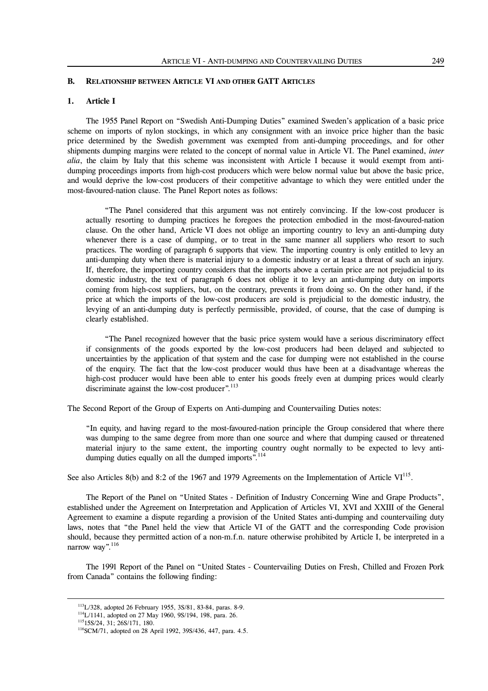# **B. RELATIONSHIP BETWEEN ARTICLE VI AND OTHER GATT ARTICLES**

# **1. Article I**

 The 1955 Panel Report on "Swedish Anti-Dumping Duties" examined Sweden's application of a basic price scheme on imports of nylon stockings, in which any consignment with an invoice price higher than the basic price determined by the Swedish government was exempted from anti-dumping proceedings, and for other shipments dumping margins were related to the concept of normal value in Article VI. The Panel examined, *inter alia*, the claim by Italy that this scheme was inconsistent with Article I because it would exempt from antidumping proceedings imports from high-cost producers which were below normal value but above the basic price, and would deprive the low-cost producers of their competitive advantage to which they were entitled under the most-favoured-nation clause. The Panel Report notes as follows:

 "The Panel considered that this argument was not entirely convincing. If the low-cost producer is actually resorting to dumping practices he foregoes the protection embodied in the most-favoured-nation clause. On the other hand, Article VI does not oblige an importing country to levy an anti-dumping duty whenever there is a case of dumping, or to treat in the same manner all suppliers who resort to such practices. The wording of paragraph 6 supports that view. The importing country is only entitled to levy an anti-dumping duty when there is material injury to a domestic industry or at least a threat of such an injury. If, therefore, the importing country considers that the imports above a certain price are not prejudicial to its domestic industry, the text of paragraph 6 does not oblige it to levy an anti-dumping duty on imports coming from high-cost suppliers, but, on the contrary, prevents it from doing so. On the other hand, if the price at which the imports of the low-cost producers are sold is prejudicial to the domestic industry, the levying of an anti-dumping duty is perfectly permissible, provided, of course, that the case of dumping is clearly established.

 "The Panel recognized however that the basic price system would have a serious discriminatory effect if consignments of the goods exported by the low-cost producers had been delayed and subjected to uncertainties by the application of that system and the case for dumping were not established in the course of the enquiry. The fact that the low-cost producer would thus have been at a disadvantage whereas the high-cost producer would have been able to enter his goods freely even at dumping prices would clearly discriminate against the low-cost producer".<sup>113</sup>

The Second Report of the Group of Experts on Anti-dumping and Countervailing Duties notes:

"In equity, and having regard to the most-favoured-nation principle the Group considered that where there was dumping to the same degree from more than one source and where that dumping caused or threatened material injury to the same extent, the importing country ought normally to be expected to levy antidumping duties equally on all the dumped imports".<sup>114</sup>

See also Articles 8(b) and 8:2 of the 1967 and 1979 Agreements on the Implementation of Article VI<sup>115</sup>.

 The Report of the Panel on "United States - Definition of Industry Concerning Wine and Grape Products", established under the Agreement on Interpretation and Application of Articles VI, XVI and XXIII of the General Agreement to examine a dispute regarding a provision of the United States anti-dumping and countervailing duty laws, notes that "the Panel held the view that Article VI of the GATT and the corresponding Code provision should, because they permitted action of a non-m.f.n. nature otherwise prohibited by Article I, be interpreted in a narrow way".<sup>116</sup>

 The 1991 Report of the Panel on "United States - Countervailing Duties on Fresh, Chilled and Frozen Pork from Canada" contains the following finding:

l

<sup>113</sup>L/328, adopted 26 February 1955, 3S/81, 83-84, paras. 8-9.

114L/1141, adopted on 27 May 1960, 9S/194, 198, para. 26.

11515S/24, 31; 26S/171, 180.

<sup>&</sup>lt;sup>116</sup>SCM/71, adopted on 28 April 1992, 39S/436, 447, para. 4.5.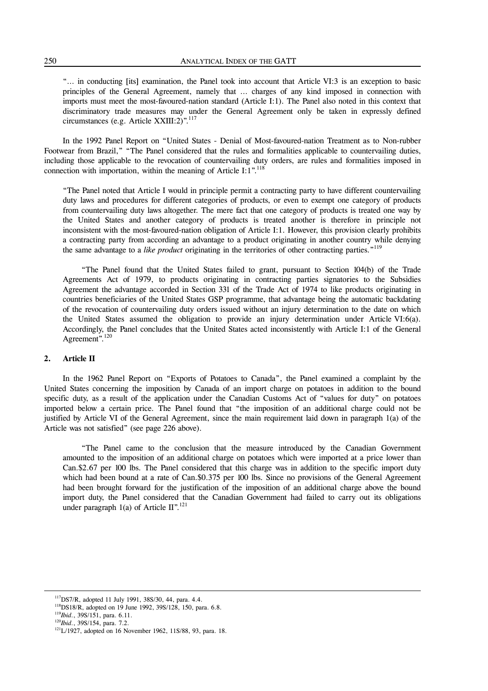"… in conducting [its] examination, the Panel took into account that Article VI:3 is an exception to basic principles of the General Agreement, namely that … charges of any kind imposed in connection with imports must meet the most-favoured-nation standard (Article I:1). The Panel also noted in this context that discriminatory trade measures may under the General Agreement only be taken in expressly defined circumstances (e.g. Article XXIII:2)".<sup>117</sup>

 In the 1992 Panel Report on "United States - Denial of Most-favoured-nation Treatment as to Non-rubber Footwear from Brazil," "The Panel considered that the rules and formalities applicable to countervailing duties, including those applicable to the revocation of countervailing duty orders, are rules and formalities imposed in connection with importation, within the meaning of Article I:1".<sup>118</sup>

"The Panel noted that Article I would in principle permit a contracting party to have different countervailing duty laws and procedures for different categories of products, or even to exempt one category of products from countervailing duty laws altogether. The mere fact that one category of products is treated one way by the United States and another category of products is treated another is therefore in principle not inconsistent with the most-favoured-nation obligation of Article I:1. However, this provision clearly prohibits a contracting party from according an advantage to a product originating in another country while denying the same advantage to a *like product* originating in the territories of other contracting parties."119

 "The Panel found that the United States failed to grant, pursuant to Section 104(b) of the Trade Agreements Act of 1979, to products originating in contracting parties signatories to the Subsidies Agreement the advantage accorded in Section 331 of the Trade Act of 1974 to like products originating in countries beneficiaries of the United States GSP programme, that advantage being the automatic backdating of the revocation of countervailing duty orders issued without an injury determination to the date on which the United States assumed the obligation to provide an injury determination under Article VI:6(a). Accordingly, the Panel concludes that the United States acted inconsistently with Article I:1 of the General Agreement".<sup>120</sup>

#### **2. Article II**

 In the 1962 Panel Report on "Exports of Potatoes to Canada", the Panel examined a complaint by the United States concerning the imposition by Canada of an import charge on potatoes in addition to the bound specific duty, as a result of the application under the Canadian Customs Act of "values for duty" on potatoes imported below a certain price. The Panel found that "the imposition of an additional charge could not be justified by Article VI of the General Agreement, since the main requirement laid down in paragraph 1(a) of the Article was not satisfied" (see page 226 above).

 "The Panel came to the conclusion that the measure introduced by the Canadian Government amounted to the imposition of an additional charge on potatoes which were imported at a price lower than Can.\$2.67 per 100 lbs. The Panel considered that this charge was in addition to the specific import duty which had been bound at a rate of Can.\$0.375 per 100 lbs. Since no provisions of the General Agreement had been brought forward for the justification of the imposition of an additional charge above the bound import duty, the Panel considered that the Canadian Government had failed to carry out its obligations under paragraph 1(a) of Article  $II$ ".<sup>121</sup>

 $117$ DS7/R, adopted 11 July 1991, 38S/30, 44, para. 4.4.

<sup>&</sup>lt;sup>118</sup>DS18/R, adopted on 19 June 1992, 39S/128, 150, para. 6.8. <sup>119</sup>*Ibid*., 39S/151, para. 6.11.

<sup>120</sup>*Ibid*., 39S/154, para. 7.2.

<sup>&</sup>lt;sup>121</sup>L/1927, adopted on 16 November 1962, 11S/88, 93, para. 18.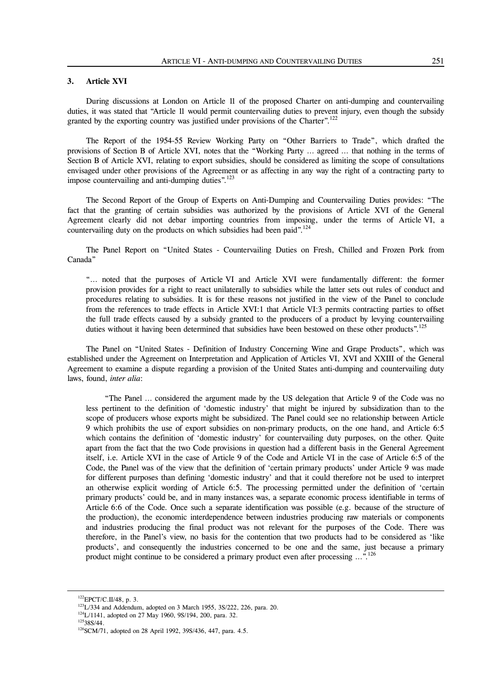## **3. Article XVI**

 During discussions at London on Article 11 of the proposed Charter on anti-dumping and countervailing duties, it was stated that "Article 11 would permit countervailing duties to prevent injury, even though the subsidy granted by the exporting country was justified under provisions of the Charter".<sup>122</sup>

 The Report of the 1954-55 Review Working Party on "Other Barriers to Trade", which drafted the provisions of Section B of Article XVI, notes that the "Working Party … agreed … that nothing in the terms of Section B of Article XVI, relating to export subsidies, should be considered as limiting the scope of consultations envisaged under other provisions of the Agreement or as affecting in any way the right of a contracting party to impose countervailing and anti-dumping duties".<sup>123</sup>

 The Second Report of the Group of Experts on Anti-Dumping and Countervailing Duties provides: "The fact that the granting of certain subsidies was authorized by the provisions of Article XVI of the General Agreement clearly did not debar importing countries from imposing, under the terms of Article VI, a countervailing duty on the products on which subsidies had been paid".<sup>124</sup>

 The Panel Report on "United States - Countervailing Duties on Fresh, Chilled and Frozen Pork from Canada"

"… noted that the purposes of Article VI and Article XVI were fundamentally different: the former provision provides for a right to react unilaterally to subsidies while the latter sets out rules of conduct and procedures relating to subsidies. It is for these reasons not justified in the view of the Panel to conclude from the references to trade effects in Article XVI:1 that Article VI:3 permits contracting parties to offset the full trade effects caused by a subsidy granted to the producers of a product by levying countervailing duties without it having been determined that subsidies have been bestowed on these other products".<sup>125</sup>

 The Panel on "United States - Definition of Industry Concerning Wine and Grape Products", which was established under the Agreement on Interpretation and Application of Articles VI, XVI and XXIII of the General Agreement to examine a dispute regarding a provision of the United States anti-dumping and countervailing duty laws, found, *inter alia*:

 "The Panel … considered the argument made by the US delegation that Article 9 of the Code was no less pertinent to the definition of 'domestic industry' that might be injured by subsidization than to the scope of producers whose exports might be subsidized. The Panel could see no relationship between Article 9 which prohibits the use of export subsidies on non-primary products, on the one hand, and Article 6:5 which contains the definition of 'domestic industry' for countervailing duty purposes, on the other. Quite apart from the fact that the two Code provisions in question had a different basis in the General Agreement itself, i.e. Article XVI in the case of Article 9 of the Code and Article VI in the case of Article 6:5 of the Code, the Panel was of the view that the definition of 'certain primary products' under Article 9 was made for different purposes than defining 'domestic industry' and that it could therefore not be used to interpret an otherwise explicit wording of Article 6:5. The processing permitted under the definition of 'certain primary products' could be, and in many instances was, a separate economic process identifiable in terms of Article 6:6 of the Code. Once such a separate identification was possible (e.g. because of the structure of the production), the economic interdependence between industries producing raw materials or components and industries producing the final product was not relevant for the purposes of the Code. There was therefore, in the Panel's view, no basis for the contention that two products had to be considered as 'like products', and consequently the industries concerned to be one and the same, just because a primary product might continue to be considered a primary product even after processing ...".<sup>126</sup>

 $^{122}$ EPCT/C.II/48, p. 3.

 $123L/334$  and Addendum, adopted on 3 March 1955, 3S/222, 226, para. 20.

<sup>&</sup>lt;sup>124</sup>L/1141, adopted on 27 May 1960, 9S/194, 200, para. 32.

12538S/44.

<sup>&</sup>lt;sup>126</sup>SCM/71, adopted on 28 April 1992, 39S/436, 447, para. 4.5.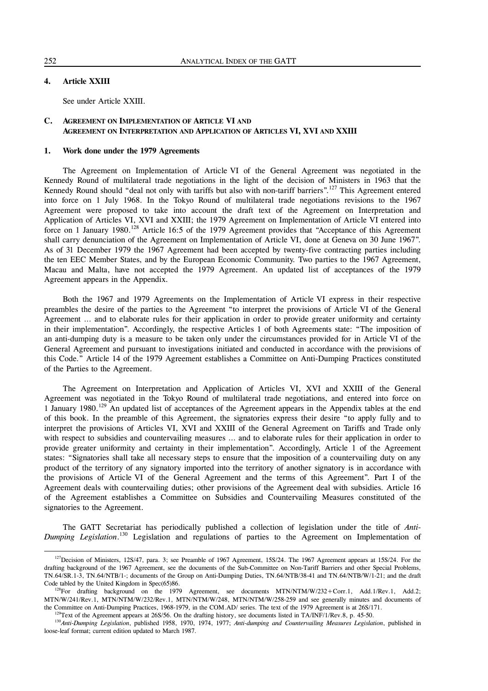# **4. Article XXIII**

See under Article XXIII.

# **C. AGREEMENT ON IMPLEMENTATION OF ARTICLE VI AND AGREEMENT ON INTERPRETATION AND APPLICATION OF ARTICLES VI, XVI AND XXIII**

# **1. Work done under the 1979 Agreements**

 The Agreement on Implementation of Article VI of the General Agreement was negotiated in the Kennedy Round of multilateral trade negotiations in the light of the decision of Ministers in 1963 that the Kennedy Round should "deal not only with tariffs but also with non-tariff barriers".127 This Agreement entered into force on 1 July 1968. In the Tokyo Round of multilateral trade negotiations revisions to the 1967 Agreement were proposed to take into account the draft text of the Agreement on Interpretation and Application of Articles VI, XVI and XXIII; the 1979 Agreement on Implementation of Article VI entered into force on 1 January 1980.<sup>128</sup> Article 16:5 of the 1979 Agreement provides that "Acceptance of this Agreement" shall carry denunciation of the Agreement on Implementation of Article VI, done at Geneva on 30 June 1967". As of 31 December 1979 the 1967 Agreement had been accepted by twenty-five contracting parties including the ten EEC Member States, and by the European Economic Community. Two parties to the 1967 Agreement, Macau and Malta, have not accepted the 1979 Agreement. An updated list of acceptances of the 1979 Agreement appears in the Appendix.

 Both the 1967 and 1979 Agreements on the Implementation of Article VI express in their respective preambles the desire of the parties to the Agreement "to interpret the provisions of Article VI of the General Agreement … and to elaborate rules for their application in order to provide greater uniformity and certainty in their implementation". Accordingly, the respective Articles 1 of both Agreements state: "The imposition of an anti-dumping duty is a measure to be taken only under the circumstances provided for in Article VI of the General Agreement and pursuant to investigations initiated and conducted in accordance with the provisions of this Code." Article 14 of the 1979 Agreement establishes a Committee on Anti-Dumping Practices constituted of the Parties to the Agreement.

 The Agreement on Interpretation and Application of Articles VI, XVI and XXIII of the General Agreement was negotiated in the Tokyo Round of multilateral trade negotiations, and entered into force on 1 January 1980.129 An updated list of acceptances of the Agreement appears in the Appendix tables at the end of this book. In the preamble of this Agreement, the signatories express their desire "to apply fully and to interpret the provisions of Articles VI, XVI and XXIII of the General Agreement on Tariffs and Trade only with respect to subsidies and countervailing measures ... and to elaborate rules for their application in order to provide greater uniformity and certainty in their implementation". Accordingly, Article 1 of the Agreement states: "Signatories shall take all necessary steps to ensure that the imposition of a countervailing duty on any product of the territory of any signatory imported into the territory of another signatory is in accordance with the provisions of Article VI of the General Agreement and the terms of this Agreement". Part I of the Agreement deals with countervailing duties; other provisions of the Agreement deal with subsidies. Article 16 of the Agreement establishes a Committee on Subsidies and Countervailing Measures constituted of the signatories to the Agreement.

 The GATT Secretariat has periodically published a collection of legislation under the title of *Anti-*Dumping Legislation.<sup>130</sup> Legislation and regulations of parties to the Agreement on Implementation of

 $127$  Decision of Ministers, 12S/47, para. 3; see Preamble of 1967 Agreement, 15S/24. The 1967 Agreement appears at 15S/24. For the drafting background of the 1967 Agreement, see the documents of the Sub-Committee on Non-Tariff Barriers and other Special Problems, TN.64/SR.1-3, TN.64/NTB/1-; documents of the Group on Anti-Dumping Duties, TN.64/NTB/38-41 and TN.64/NTB/W/1-21; and the draft Code tabled by the United Kingdom in Spec(65)86.

<sup>&</sup>lt;sup>128</sup>For drafting background on the 1979 Agreement, see documents MTN/NTM/W/232+Corr.1, Add.1/Rev.1, Add.2; MTN/W/241/Rev.1, MTN/NTM/W/232/Rev.1, MTN/NTM/W/248, MTN/NTM/W/258-259 and see generally minutes and documents of the Committee on Anti-Dumping Practices, 1968-1979, in the COM.AD/ series. The text of the 1979 Agreement is at 26S/171.

<sup>&</sup>lt;sup>129</sup>Text of the Agreement appears at 26S/56. On the drafting history, see documents listed in TA/INF/1/Rev.8, p. 45-50.

<sup>130</sup>*Anti-Dumping Legislation*, published 1958, 1970, 1974, 1977; *Anti-dumping and Countervailing Measures Legislation*, published in loose-leaf format; current edition updated to March 1987.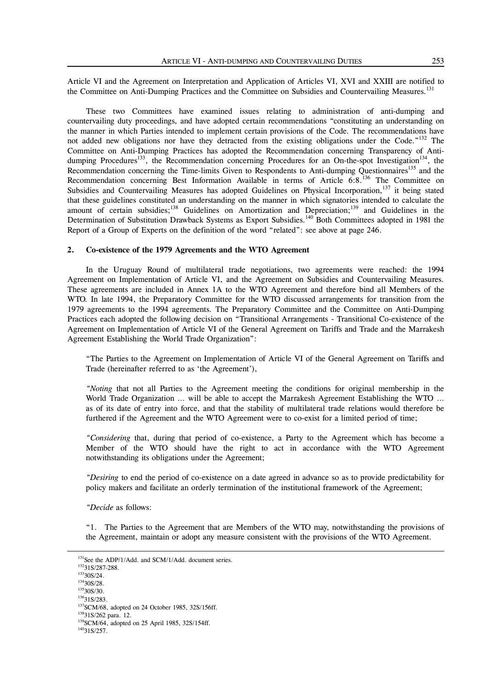Article VI and the Agreement on Interpretation and Application of Articles VI, XVI and XXIII are notified to the Committee on Anti-Dumping Practices and the Committee on Subsidies and Countervailing Measures.<sup>131</sup>

 These two Committees have examined issues relating to administration of anti-dumping and countervailing duty proceedings, and have adopted certain recommendations "constituting an understanding on the manner in which Parties intended to implement certain provisions of the Code. The recommendations have not added new obligations nor have they detracted from the existing obligations under the Code."<sup>132</sup> The Committee on Anti-Dumping Practices has adopted the Recommendation concerning Transparency of Antidumping Procedures<sup>133</sup>, the Recommendation concerning Procedures for an On-the-spot Investigation<sup>134</sup>, the Recommendation concerning the Time-limits Given to Respondents to Anti-dumping Questionnaires<sup>135</sup> and the Recommendation concerning Best Information Available in terms of Article 6:8.<sup>136</sup> The Committee on Subsidies and Countervailing Measures has adopted Guidelines on Physical Incorporation,<sup>137</sup> it being stated that these guidelines constituted an understanding on the manner in which signatories intended to calculate the amount of certain subsidies;<sup>138</sup> Guidelines on Amortization and Depreciation;<sup>139</sup> and Guidelines in the Determination of Substitution Drawback Systems as Export Subsidies.<sup>140</sup> Both Committees adopted in 1981 the Report of a Group of Experts on the definition of the word "related": see above at page 246.

#### **2. Co-existence of the 1979 Agreements and the WTO Agreement**

 In the Uruguay Round of multilateral trade negotiations, two agreements were reached: the 1994 Agreement on Implementation of Article VI, and the Agreement on Subsidies and Countervailing Measures. These agreements are included in Annex 1A to the WTO Agreement and therefore bind all Members of the WTO. In late 1994, the Preparatory Committee for the WTO discussed arrangements for transition from the 1979 agreements to the 1994 agreements. The Preparatory Committee and the Committee on Anti-Dumping Practices each adopted the following decision on "Transitional Arrangements - Transitional Co-existence of the Agreement on Implementation of Article VI of the General Agreement on Tariffs and Trade and the Marrakesh Agreement Establishing the World Trade Organization":

"The Parties to the Agreement on Implementation of Article VI of the General Agreement on Tariffs and Trade (hereinafter referred to as 'the Agreement'),

*"Noting* that not all Parties to the Agreement meeting the conditions for original membership in the World Trade Organization ... will be able to accept the Marrakesh Agreement Establishing the WTO ... as of its date of entry into force, and that the stability of multilateral trade relations would therefore be furthered if the Agreement and the WTO Agreement were to co-exist for a limited period of time;

*"Considering* that, during that period of co-existence, a Party to the Agreement which has become a Member of the WTO should have the right to act in accordance with the WTO Agreement notwithstanding its obligations under the Agreement;

*"Desiring* to end the period of co-existence on a date agreed in advance so as to provide predictability for policy makers and facilitate an orderly termination of the institutional framework of the Agreement;

*"Decide* as follows:

"1. The Parties to the Agreement that are Members of the WTO may, notwithstanding the provisions of the Agreement, maintain or adopt any measure consistent with the provisions of the WTO Agreement.

<sup>&</sup>lt;sup>131</sup>See the ADP/1/Add. and SCM/1/Add. document series.

 $13231S/287-288.$ 

 $13330S/24$ .  $13430S/28$ .

<sup>&</sup>lt;sup>135</sup>30S/30.

 $136$ 31S/283.

<sup>137</sup>SCM/68, adopted on 24 October 1985, 32S/156ff.

13831S/262 para. 12.

<sup>&</sup>lt;sup>139</sup>SCM/64, adopted on 25 April 1985, 32S/154ff.

 $14031S/257.$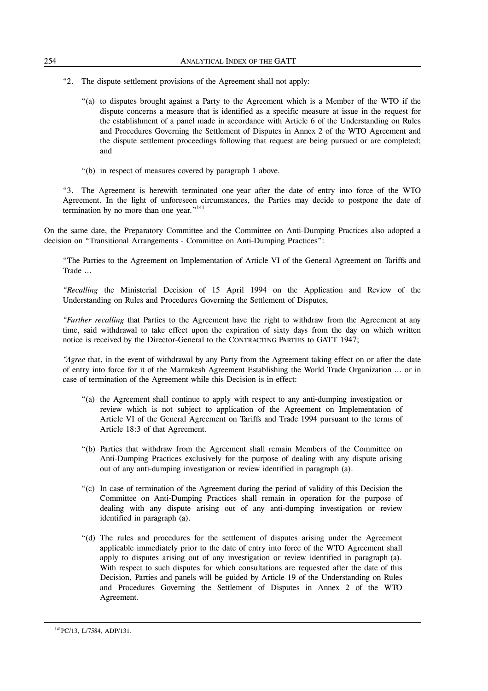- "2. The dispute settlement provisions of the Agreement shall not apply:
	- "(a) to disputes brought against a Party to the Agreement which is a Member of the WTO if the dispute concerns a measure that is identified as a specific measure at issue in the request for the establishment of a panel made in accordance with Article 6 of the Understanding on Rules and Procedures Governing the Settlement of Disputes in Annex 2 of the WTO Agreement and the dispute settlement proceedings following that request are being pursued or are completed; and
	- "(b) in respect of measures covered by paragraph 1 above.

"3. The Agreement is herewith terminated one year after the date of entry into force of the WTO Agreement. In the light of unforeseen circumstances, the Parties may decide to postpone the date of termination by no more than one year."<sup>141</sup>

On the same date, the Preparatory Committee and the Committee on Anti-Dumping Practices also adopted a decision on "Transitional Arrangements - Committee on Anti-Dumping Practices":

"The Parties to the Agreement on Implementation of Article VI of the General Agreement on Tariffs and Trade …

*"Recalling* the Ministerial Decision of 15 April 1994 on the Application and Review of the Understanding on Rules and Procedures Governing the Settlement of Disputes,

*"Further recalling* that Parties to the Agreement have the right to withdraw from the Agreement at any time, said withdrawal to take effect upon the expiration of sixty days from the day on which written notice is received by the Director-General to the CONTRACTING PARTIES to GATT 1947;

*"Agree* that, in the event of withdrawal by any Party from the Agreement taking effect on or after the date of entry into force for it of the Marrakesh Agreement Establishing the World Trade Organization … or in case of termination of the Agreement while this Decision is in effect:

- "(a) the Agreement shall continue to apply with respect to any anti-dumping investigation or review which is not subject to application of the Agreement on Implementation of Article VI of the General Agreement on Tariffs and Trade 1994 pursuant to the terms of Article 18:3 of that Agreement.
- "(b) Parties that withdraw from the Agreement shall remain Members of the Committee on Anti-Dumping Practices exclusively for the purpose of dealing with any dispute arising out of any anti-dumping investigation or review identified in paragraph (a).
- "(c) In case of termination of the Agreement during the period of validity of this Decision the Committee on Anti-Dumping Practices shall remain in operation for the purpose of dealing with any dispute arising out of any anti-dumping investigation or review identified in paragraph (a).
- "(d) The rules and procedures for the settlement of disputes arising under the Agreement applicable immediately prior to the date of entry into force of the WTO Agreement shall apply to disputes arising out of any investigation or review identified in paragraph (a). With respect to such disputes for which consultations are requested after the date of this Decision, Parties and panels will be guided by Article 19 of the Understanding on Rules and Procedures Governing the Settlement of Disputes in Annex 2 of the WTO Agreement.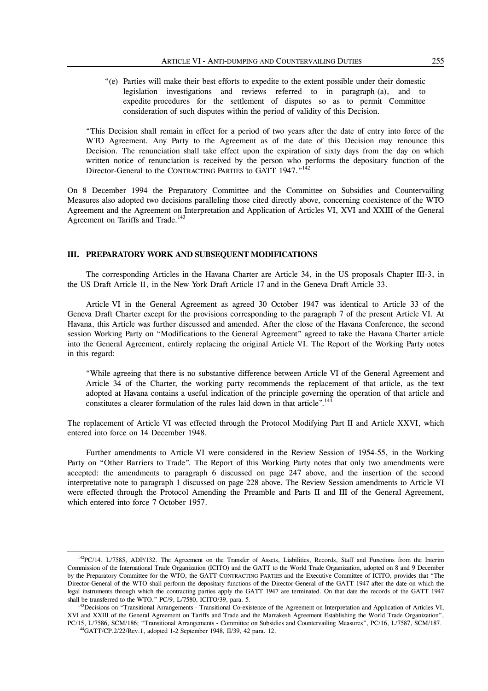"(e) Parties will make their best efforts to expedite to the extent possible under their domestic legislation investigations and reviews referred to in paragraph (a), and to expedite procedures for the settlement of disputes so as to permit Committee consideration of such disputes within the period of validity of this Decision.

"This Decision shall remain in effect for a period of two years after the date of entry into force of the WTO Agreement. Any Party to the Agreement as of the date of this Decision may renounce this Decision. The renunciation shall take effect upon the expiration of sixty days from the day on which written notice of renunciation is received by the person who performs the depositary function of the Director-General to the CONTRACTING PARTIES to GATT 1947."142

On 8 December 1994 the Preparatory Committee and the Committee on Subsidies and Countervailing Measures also adopted two decisions paralleling those cited directly above, concerning coexistence of the WTO Agreement and the Agreement on Interpretation and Application of Articles VI, XVI and XXIII of the General Agreement on Tariffs and Trade.<sup>143</sup>

#### **III. PREPARATORY WORK AND SUBSEQUENT MODIFICATIONS**

 The corresponding Articles in the Havana Charter are Article 34, in the US proposals Chapter III-3, in the US Draft Article 11, in the New York Draft Article 17 and in the Geneva Draft Article 33.

 Article VI in the General Agreement as agreed 30 October 1947 was identical to Article 33 of the Geneva Draft Charter except for the provisions corresponding to the paragraph 7 of the present Article VI. At Havana, this Article was further discussed and amended. After the close of the Havana Conference, the second session Working Party on "Modifications to the General Agreement" agreed to take the Havana Charter article into the General Agreement, entirely replacing the original Article VI. The Report of the Working Party notes in this regard:

"While agreeing that there is no substantive difference between Article VI of the General Agreement and Article 34 of the Charter, the working party recommends the replacement of that article, as the text adopted at Havana contains a useful indication of the principle governing the operation of that article and constitutes a clearer formulation of the rules laid down in that article".<sup>144</sup>

The replacement of Article VI was effected through the Protocol Modifying Part II and Article XXVI, which entered into force on 14 December 1948.

 Further amendments to Article VI were considered in the Review Session of 1954-55, in the Working Party on "Other Barriers to Trade". The Report of this Working Party notes that only two amendments were accepted: the amendments to paragraph 6 discussed on page 247 above, and the insertion of the second interpretative note to paragraph 1 discussed on page 228 above. The Review Session amendments to Article VI were effected through the Protocol Amending the Preamble and Parts II and III of the General Agreement, which entered into force 7 October 1957.

 $142$ PC/14, L/7585, ADP/132. The Agreement on the Transfer of Assets, Liabilities, Records, Staff and Functions from the Interim Commission of the International Trade Organization (ICITO) and the GATT to the World Trade Organization, adopted on 8 and 9 December by the Preparatory Committee for the WTO, the GATT CONTRACTING PARTIES and the Executive Committee of ICITO, provides that "The Director-General of the WTO shall perform the depositary functions of the Director-General of the GATT 1947 after the date on which the legal instruments through which the contracting parties apply the GATT 1947 are terminated. On that date the records of the GATT 1947 shall be transferred to the WTO." PC/9, L/7580, ICITO/39, para. 5.

<sup>&</sup>lt;sup>143</sup>Decisions on "Transitional Arrangements - Transitional Co-existence of the Agreement on Interpretation and Application of Articles VI, XVI and XXIII of the General Agreement on Tariffs and Trade and the Marrakesh Agreement Establishing the World Trade Organization", PC/15, L/7586, SCM/186; "Transitional Arrangements - Committee on Subsidies and Countervailing Measures", PC/16, L/7587, SCM/187.

144GATT/CP.2/22/Rev.1, adopted 1-2 September 1948, II/39, 42 para. 12.